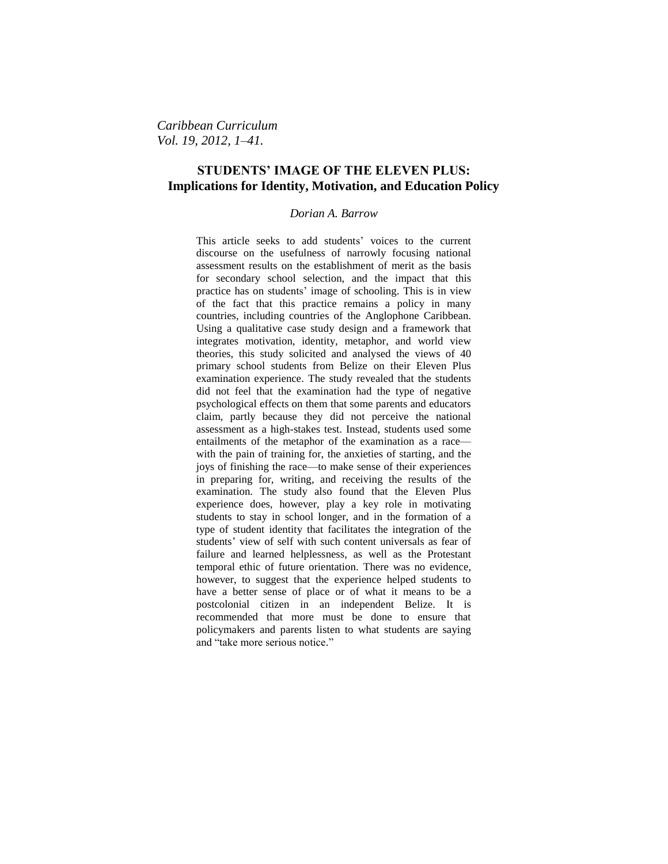*Caribbean Curriculum Vol. 19, 2012, 1–41.*

# **STUDENTS' IMAGE OF THE ELEVEN PLUS: Implications for Identity, Motivation, and Education Policy**

#### *Dorian A. Barrow*

This article seeks to add students' voices to the current discourse on the usefulness of narrowly focusing national assessment results on the establishment of merit as the basis for secondary school selection, and the impact that this practice has on students' image of schooling. This is in view of the fact that this practice remains a policy in many countries, including countries of the Anglophone Caribbean. Using a qualitative case study design and a framework that integrates motivation, identity, metaphor, and world view theories, this study solicited and analysed the views of 40 primary school students from Belize on their Eleven Plus examination experience. The study revealed that the students did not feel that the examination had the type of negative psychological effects on them that some parents and educators claim, partly because they did not perceive the national assessment as a high-stakes test. Instead, students used some entailments of the metaphor of the examination as a race with the pain of training for, the anxieties of starting, and the joys of finishing the race—to make sense of their experiences in preparing for, writing, and receiving the results of the examination. The study also found that the Eleven Plus experience does, however, play a key role in motivating students to stay in school longer, and in the formation of a type of student identity that facilitates the integration of the students' view of self with such content universals as fear of failure and learned helplessness, as well as the Protestant temporal ethic of future orientation. There was no evidence, however, to suggest that the experience helped students to have a better sense of place or of what it means to be a postcolonial citizen in an independent Belize. It is recommended that more must be done to ensure that policymakers and parents listen to what students are saying and "take more serious notice."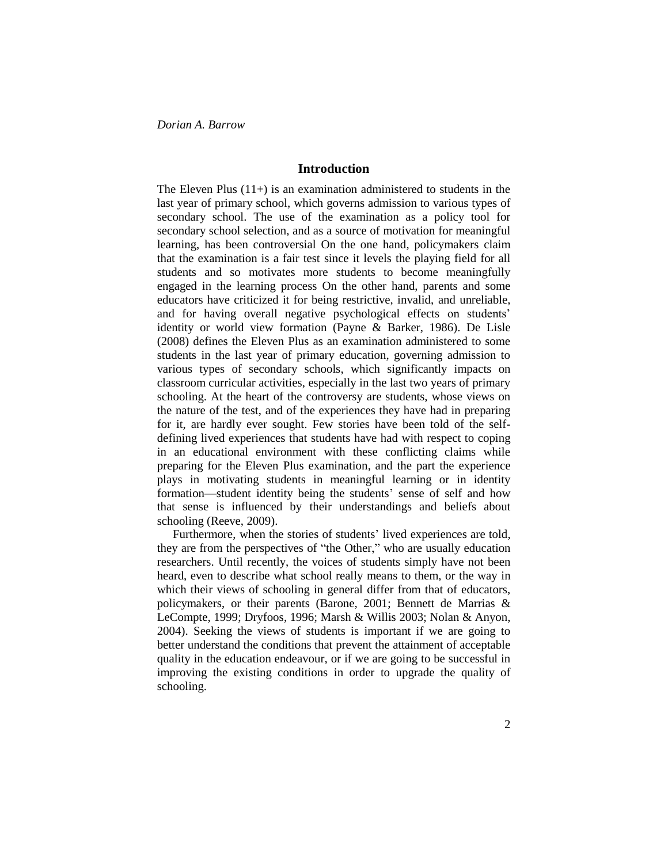# **Introduction**

The Eleven Plus  $(11+)$  is an examination administered to students in the last year of primary school, which governs admission to various types of secondary school. The use of the examination as a policy tool for secondary school selection, and as a source of motivation for meaningful learning, has been controversial On the one hand, policymakers claim that the examination is a fair test since it levels the playing field for all students and so motivates more students to become meaningfully engaged in the learning process On the other hand, parents and some educators have criticized it for being restrictive, invalid, and unreliable, and for having overall negative psychological effects on students' identity or world view formation (Payne & Barker, 1986). De Lisle (2008) defines the Eleven Plus as an examination administered to some students in the last year of primary education, governing admission to various types of secondary schools, which significantly impacts on classroom curricular activities, especially in the last two years of primary schooling. At the heart of the controversy are students, whose views on the nature of the test, and of the experiences they have had in preparing for it, are hardly ever sought. Few stories have been told of the selfdefining lived experiences that students have had with respect to coping in an educational environment with these conflicting claims while preparing for the Eleven Plus examination, and the part the experience plays in motivating students in meaningful learning or in identity formation—student identity being the students' sense of self and how that sense is influenced by their understandings and beliefs about schooling (Reeve, 2009).

Furthermore, when the stories of students' lived experiences are told, they are from the perspectives of "the Other," who are usually education researchers. Until recently, the voices of students simply have not been heard, even to describe what school really means to them, or the way in which their views of schooling in general differ from that of educators, policymakers, or their parents (Barone, 2001; Bennett de Marrias & LeCompte, 1999; Dryfoos, 1996; Marsh & Willis 2003; Nolan & Anyon, 2004). Seeking the views of students is important if we are going to better understand the conditions that prevent the attainment of acceptable quality in the education endeavour, or if we are going to be successful in improving the existing conditions in order to upgrade the quality of schooling.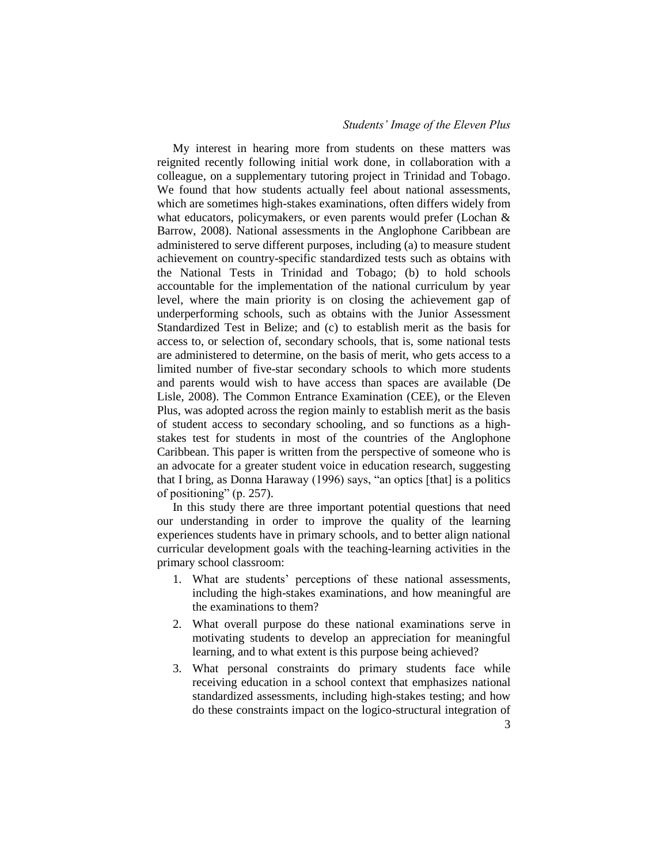My interest in hearing more from students on these matters was reignited recently following initial work done, in collaboration with a colleague, on a supplementary tutoring project in Trinidad and Tobago. We found that how students actually feel about national assessments, which are sometimes high-stakes examinations, often differs widely from what educators, policymakers, or even parents would prefer (Lochan & Barrow, 2008). National assessments in the Anglophone Caribbean are administered to serve different purposes, including (a) to measure student achievement on country-specific standardized tests such as obtains with the National Tests in Trinidad and Tobago; (b) to hold schools accountable for the implementation of the national curriculum by year level, where the main priority is on closing the achievement gap of underperforming schools, such as obtains with the Junior Assessment Standardized Test in Belize; and (c) to establish merit as the basis for access to, or selection of, secondary schools, that is, some national tests are administered to determine, on the basis of merit, who gets access to a limited number of five-star secondary schools to which more students and parents would wish to have access than spaces are available (De Lisle, 2008). The Common Entrance Examination (CEE), or the Eleven Plus, was adopted across the region mainly to establish merit as the basis of student access to secondary schooling, and so functions as a highstakes test for students in most of the countries of the Anglophone Caribbean. This paper is written from the perspective of someone who is an advocate for a greater student voice in education research, suggesting that I bring, as Donna Haraway  $(1996)$  says, "an optics [that] is a politics of positioning" (p. 257).

In this study there are three important potential questions that need our understanding in order to improve the quality of the learning experiences students have in primary schools, and to better align national curricular development goals with the teaching-learning activities in the primary school classroom:

- 1. What are students' perceptions of these national assessments, including the high-stakes examinations, and how meaningful are the examinations to them?
- 2. What overall purpose do these national examinations serve in motivating students to develop an appreciation for meaningful learning, and to what extent is this purpose being achieved?
- 3. What personal constraints do primary students face while receiving education in a school context that emphasizes national standardized assessments, including high-stakes testing; and how do these constraints impact on the logico-structural integration of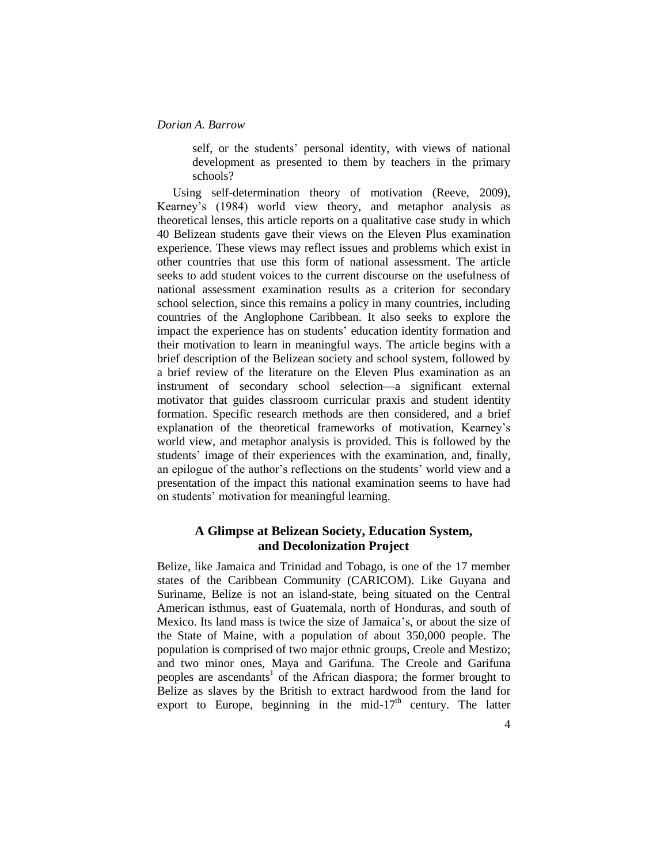self, or the students' personal identity, with views of national development as presented to them by teachers in the primary schools?

Using self-determination theory of motivation (Reeve, 2009), Kearney's (1984) world view theory, and metaphor analysis as theoretical lenses, this article reports on a qualitative case study in which 40 Belizean students gave their views on the Eleven Plus examination experience. These views may reflect issues and problems which exist in other countries that use this form of national assessment. The article seeks to add student voices to the current discourse on the usefulness of national assessment examination results as a criterion for secondary school selection, since this remains a policy in many countries, including countries of the Anglophone Caribbean. It also seeks to explore the impact the experience has on students' education identity formation and their motivation to learn in meaningful ways. The article begins with a brief description of the Belizean society and school system, followed by a brief review of the literature on the Eleven Plus examination as an instrument of secondary school selection—a significant external motivator that guides classroom curricular praxis and student identity formation. Specific research methods are then considered, and a brief explanation of the theoretical frameworks of motivation, Kearney's world view, and metaphor analysis is provided. This is followed by the students' image of their experiences with the examination, and, finally, an epilogue of the author's reflections on the students' world view and a presentation of the impact this national examination seems to have had on students' motivation for meaningful learning.

# **A Glimpse at Belizean Society, Education System, and Decolonization Project**

Belize, like Jamaica and Trinidad and Tobago, is one of the 17 member states of the Caribbean Community (CARICOM). Like Guyana and Suriname, Belize is not an island-state, being situated on the Central American isthmus, east of Guatemala, north of Honduras, and south of Mexico. Its land mass is twice the size of Jamaica's, or about the size of the State of Maine, with a population of about 350,000 people. The population is comprised of two major ethnic groups, Creole and Mestizo; and two minor ones, Maya and Garifuna. The Creole and Garifuna peoples are ascendants<sup>1</sup> of the African diaspora; the former brought to Belize as slaves by the British to extract hardwood from the land for export to Europe, beginning in the mid-17<sup>th</sup> century. The latter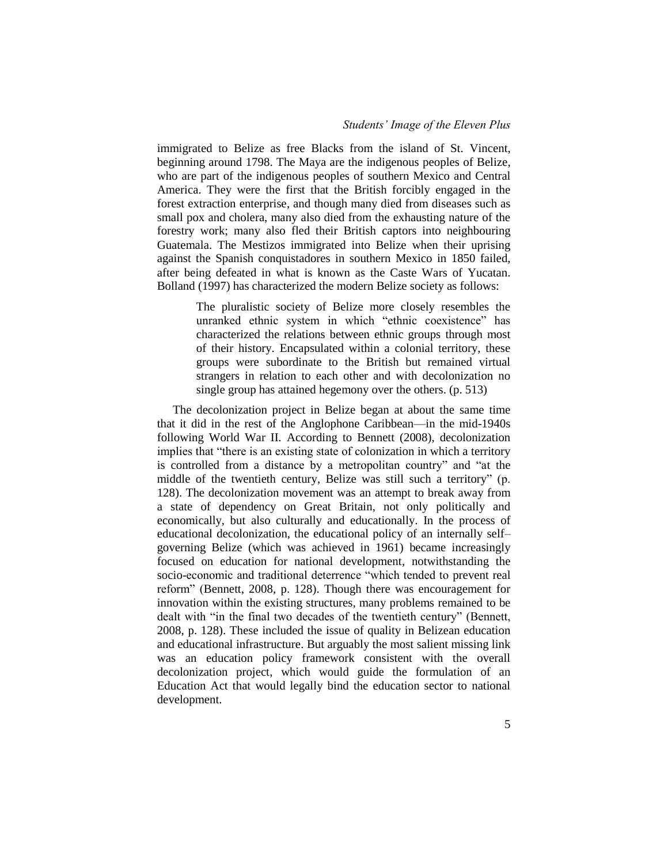immigrated to Belize as free Blacks from the island of St. Vincent, beginning around 1798. The Maya are the indigenous peoples of Belize, who are part of the indigenous peoples of southern Mexico and Central America. They were the first that the British forcibly engaged in the forest extraction enterprise, and though many died from diseases such as small pox and cholera, many also died from the exhausting nature of the forestry work; many also fled their British captors into neighbouring Guatemala. The Mestizos immigrated into Belize when their uprising against the Spanish conquistadores in southern Mexico in 1850 failed, after being defeated in what is known as the Caste Wars of Yucatan. Bolland (1997) has characterized the modern Belize society as follows:

> The pluralistic society of Belize more closely resembles the unranked ethnic system in which "ethnic coexistence" has characterized the relations between ethnic groups through most of their history. Encapsulated within a colonial territory, these groups were subordinate to the British but remained virtual strangers in relation to each other and with decolonization no single group has attained hegemony over the others. (p. 513)

The decolonization project in Belize began at about the same time that it did in the rest of the Anglophone Caribbean—in the mid-1940s following World War II. According to Bennett (2008), decolonization implies that "there is an existing state of colonization in which a territory is controlled from a distance by a metropolitan country" and "at the middle of the twentieth century, Belize was still such a territory" (p. 128). The decolonization movement was an attempt to break away from a state of dependency on Great Britain, not only politically and economically, but also culturally and educationally. In the process of educational decolonization, the educational policy of an internally self– governing Belize (which was achieved in 1961) became increasingly focused on education for national development, notwithstanding the socio-economic and traditional deterrence "which tended to prevent real reform" (Bennett, 2008, p. 128). Though there was encouragement for innovation within the existing structures, many problems remained to be dealt with "in the final two decades of the twentieth century" (Bennett, 2008, p. 128). These included the issue of quality in Belizean education and educational infrastructure. But arguably the most salient missing link was an education policy framework consistent with the overall decolonization project, which would guide the formulation of an Education Act that would legally bind the education sector to national development.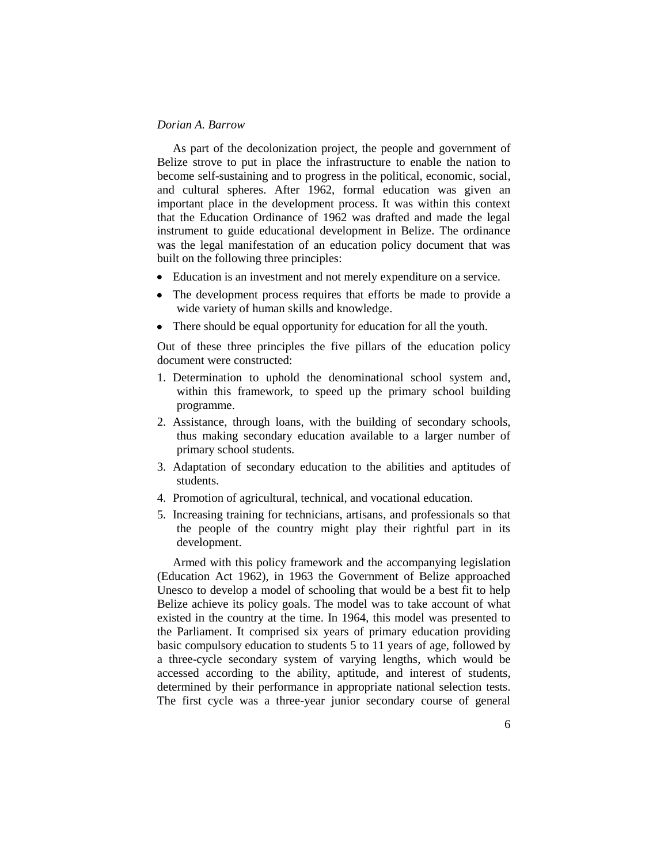As part of the decolonization project, the people and government of Belize strove to put in place the infrastructure to enable the nation to become self-sustaining and to progress in the political, economic, social, and cultural spheres. After 1962, formal education was given an important place in the development process. It was within this context that the Education Ordinance of 1962 was drafted and made the legal instrument to guide educational development in Belize. The ordinance was the legal manifestation of an education policy document that was built on the following three principles:

- Education is an investment and not merely expenditure on a service.
- The development process requires that efforts be made to provide a wide variety of human skills and knowledge.
- There should be equal opportunity for education for all the youth.

Out of these three principles the five pillars of the education policy document were constructed:

- 1. Determination to uphold the denominational school system and, within this framework, to speed up the primary school building programme.
- 2. Assistance, through loans, with the building of secondary schools, thus making secondary education available to a larger number of primary school students.
- 3. Adaptation of secondary education to the abilities and aptitudes of students.
- 4. Promotion of agricultural, technical, and vocational education.
- 5. Increasing training for technicians, artisans, and professionals so that the people of the country might play their rightful part in its development.

Armed with this policy framework and the accompanying legislation (Education Act 1962), in 1963 the Government of Belize approached Unesco to develop a model of schooling that would be a best fit to help Belize achieve its policy goals. The model was to take account of what existed in the country at the time. In 1964, this model was presented to the Parliament. It comprised six years of primary education providing basic compulsory education to students 5 to 11 years of age, followed by a three-cycle secondary system of varying lengths, which would be accessed according to the ability, aptitude, and interest of students, determined by their performance in appropriate national selection tests. The first cycle was a three-year junior secondary course of general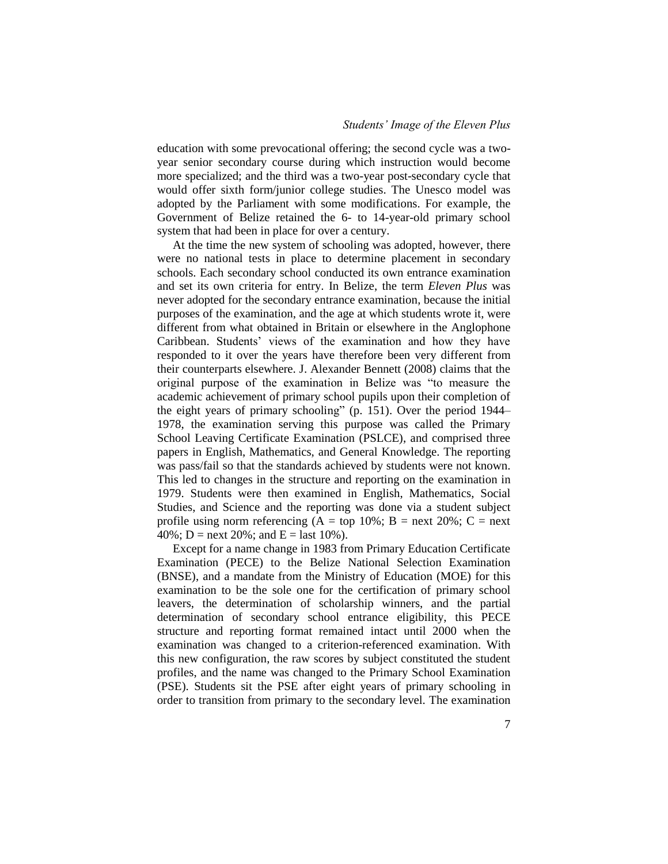education with some prevocational offering; the second cycle was a twoyear senior secondary course during which instruction would become more specialized; and the third was a two-year post-secondary cycle that would offer sixth form/junior college studies. The Unesco model was adopted by the Parliament with some modifications. For example, the Government of Belize retained the 6- to 14-year-old primary school system that had been in place for over a century.

At the time the new system of schooling was adopted, however, there were no national tests in place to determine placement in secondary schools. Each secondary school conducted its own entrance examination and set its own criteria for entry. In Belize, the term *Eleven Plus* was never adopted for the secondary entrance examination, because the initial purposes of the examination, and the age at which students wrote it, were different from what obtained in Britain or elsewhere in the Anglophone Caribbean. Students' views of the examination and how they have responded to it over the years have therefore been very different from their counterparts elsewhere. J. Alexander Bennett (2008) claims that the original purpose of the examination in Belize was "to measure the academic achievement of primary school pupils upon their completion of the eight years of primary schooling" (p. 151). Over the period 1944– 1978, the examination serving this purpose was called the Primary School Leaving Certificate Examination (PSLCE), and comprised three papers in English, Mathematics, and General Knowledge. The reporting was pass/fail so that the standards achieved by students were not known. This led to changes in the structure and reporting on the examination in 1979. Students were then examined in English, Mathematics, Social Studies, and Science and the reporting was done via a student subject profile using norm referencing  $(A = top 10\%; B = next 20\%; C = next$ 40%; D = next 20%; and  $E =$  last 10%).

Except for a name change in 1983 from Primary Education Certificate Examination (PECE) to the Belize National Selection Examination (BNSE), and a mandate from the Ministry of Education (MOE) for this examination to be the sole one for the certification of primary school leavers, the determination of scholarship winners, and the partial determination of secondary school entrance eligibility, this PECE structure and reporting format remained intact until 2000 when the examination was changed to a criterion-referenced examination. With this new configuration, the raw scores by subject constituted the student profiles, and the name was changed to the Primary School Examination (PSE). Students sit the PSE after eight years of primary schooling in order to transition from primary to the secondary level. The examination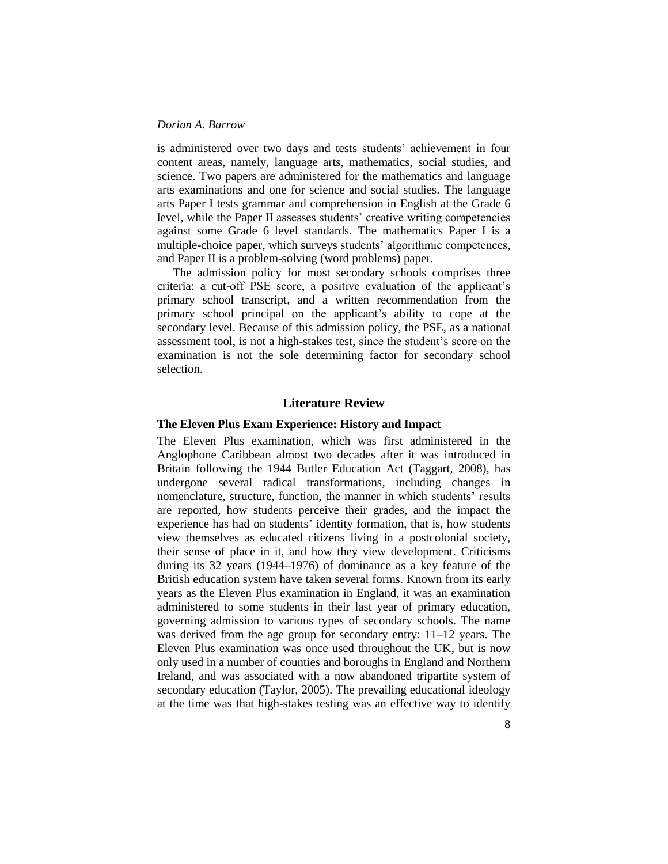is administered over two days and tests students' achievement in four content areas, namely, language arts, mathematics, social studies, and science. Two papers are administered for the mathematics and language arts examinations and one for science and social studies. The language arts Paper I tests grammar and comprehension in English at the Grade 6 level, while the Paper II assesses students' creative writing competencies against some Grade 6 level standards. The mathematics Paper I is a multiple-choice paper, which surveys students' algorithmic competences, and Paper II is a problem-solving (word problems) paper.

The admission policy for most secondary schools comprises three criteria: a cut-off PSE score, a positive evaluation of the applicant's primary school transcript, and a written recommendation from the primary school principal on the applicant's ability to cope at the secondary level. Because of this admission policy, the PSE, as a national assessment tool, is not a high-stakes test, since the student's score on the examination is not the sole determining factor for secondary school selection.

### **Literature Review**

# **The Eleven Plus Exam Experience: History and Impact**

The Eleven Plus examination, which was first administered in the Anglophone Caribbean almost two decades after it was introduced in Britain following the 1944 Butler Education Act (Taggart, 2008), has undergone several radical transformations, including changes in nomenclature, structure, function, the manner in which students' results are reported, how students perceive their grades, and the impact the experience has had on students' identity formation, that is, how students view themselves as educated citizens living in a postcolonial society, their sense of place in it, and how they view development. Criticisms during its 32 years (1944–1976) of dominance as a key feature of the British education system have taken several forms. Known from its early years as the Eleven Plus examination in England, it was an examination administered to some students in their last year of primary education, governing admission to various types of secondary schools. The name was derived from the age group for secondary entry: 11–12 years. The Eleven Plus examination was once used throughout the UK, but is now only used in a number of counties and boroughs in England and Northern Ireland, and was associated with a now abandoned tripartite system of secondary education (Taylor, 2005). The prevailing educational ideology at the time was that high-stakes testing was an effective way to identify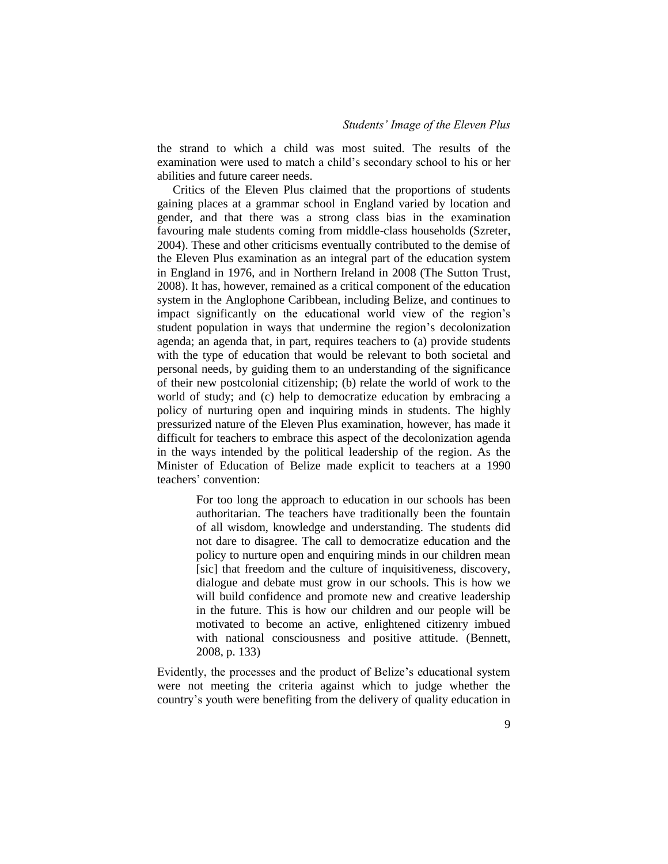the strand to which a child was most suited. The results of the examination were used to match a child's secondary school to his or her abilities and future career needs.

Critics of the Eleven Plus claimed that the proportions of students gaining places at a grammar school in England varied by location and gender, and that there was a strong class bias in the examination favouring male students coming from middle-class households (Szreter, 2004). These and other criticisms eventually contributed to the demise of the Eleven Plus examination as an integral part of the education system in England in 1976, and in Northern Ireland in 2008 (The Sutton Trust, 2008). It has, however, remained as a critical component of the education system in the Anglophone Caribbean, including Belize, and continues to impact significantly on the educational world view of the region's student population in ways that undermine the region's decolonization agenda; an agenda that, in part, requires teachers to (a) provide students with the type of education that would be relevant to both societal and personal needs, by guiding them to an understanding of the significance of their new postcolonial citizenship; (b) relate the world of work to the world of study; and (c) help to democratize education by embracing a policy of nurturing open and inquiring minds in students. The highly pressurized nature of the Eleven Plus examination, however, has made it difficult for teachers to embrace this aspect of the decolonization agenda in the ways intended by the political leadership of the region. As the Minister of Education of Belize made explicit to teachers at a 1990 teachers' convention:

> For too long the approach to education in our schools has been authoritarian. The teachers have traditionally been the fountain of all wisdom, knowledge and understanding. The students did not dare to disagree. The call to democratize education and the policy to nurture open and enquiring minds in our children mean [sic] that freedom and the culture of inquisitiveness, discovery, dialogue and debate must grow in our schools. This is how we will build confidence and promote new and creative leadership in the future. This is how our children and our people will be motivated to become an active, enlightened citizenry imbued with national consciousness and positive attitude. (Bennett, 2008, p. 133)

Evidently, the processes and the product of Belize's educational system were not meeting the criteria against which to judge whether the country's youth were benefiting from the delivery of quality education in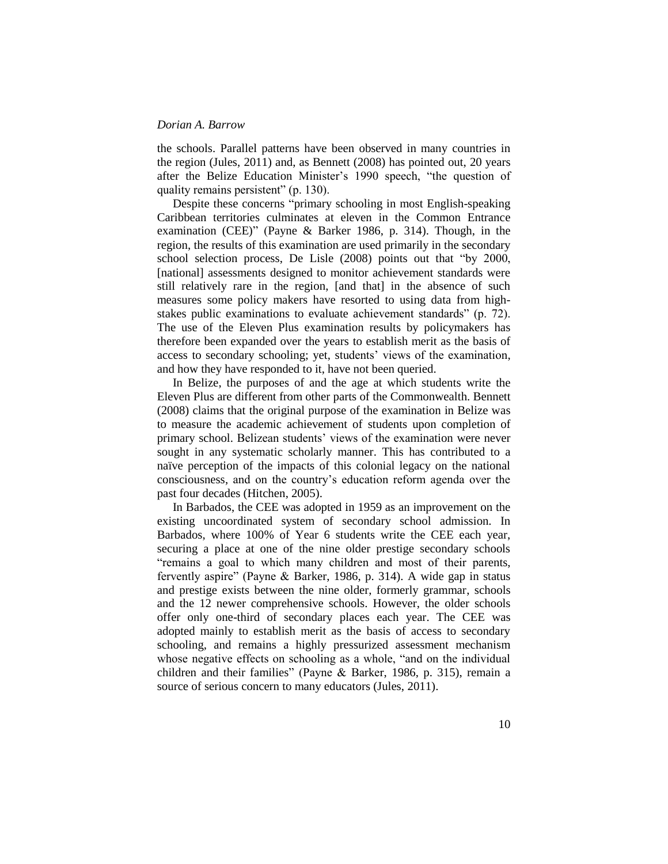the schools. Parallel patterns have been observed in many countries in the region (Jules, 2011) and, as Bennett (2008) has pointed out, 20 years after the Belize Education Minister's 1990 speech, "the question of quality remains persistent"  $(p. 130)$ .

Despite these concerns "primary schooling in most English-speaking Caribbean territories culminates at eleven in the Common Entrance examination (CEE)" (Payne & Barker 1986, p. 314). Though, in the region, the results of this examination are used primarily in the secondary school selection process, De Lisle  $(2008)$  points out that "by 2000, [national] assessments designed to monitor achievement standards were still relatively rare in the region, [and that] in the absence of such measures some policy makers have resorted to using data from highstakes public examinations to evaluate achievement standards" (p. 72). The use of the Eleven Plus examination results by policymakers has therefore been expanded over the years to establish merit as the basis of access to secondary schooling; yet, students' views of the examination, and how they have responded to it, have not been queried.

In Belize, the purposes of and the age at which students write the Eleven Plus are different from other parts of the Commonwealth. Bennett (2008) claims that the original purpose of the examination in Belize was to measure the academic achievement of students upon completion of primary school. Belizean students' views of the examination were never sought in any systematic scholarly manner. This has contributed to a naïve perception of the impacts of this colonial legacy on the national consciousness, and on the country's education reform agenda over the past four decades (Hitchen, 2005).

In Barbados, the CEE was adopted in 1959 as an improvement on the existing uncoordinated system of secondary school admission. In Barbados, where 100% of Year 6 students write the CEE each year, securing a place at one of the nine older prestige secondary schools ―remains a goal to which many children and most of their parents, fervently aspire" (Payne & Barker, 1986, p. 314). A wide gap in status and prestige exists between the nine older, formerly grammar, schools and the 12 newer comprehensive schools. However, the older schools offer only one-third of secondary places each year. The CEE was adopted mainly to establish merit as the basis of access to secondary schooling, and remains a highly pressurized assessment mechanism whose negative effects on schooling as a whole, "and on the individual children and their families" (Payne & Barker, 1986, p. 315), remain a source of serious concern to many educators (Jules, 2011).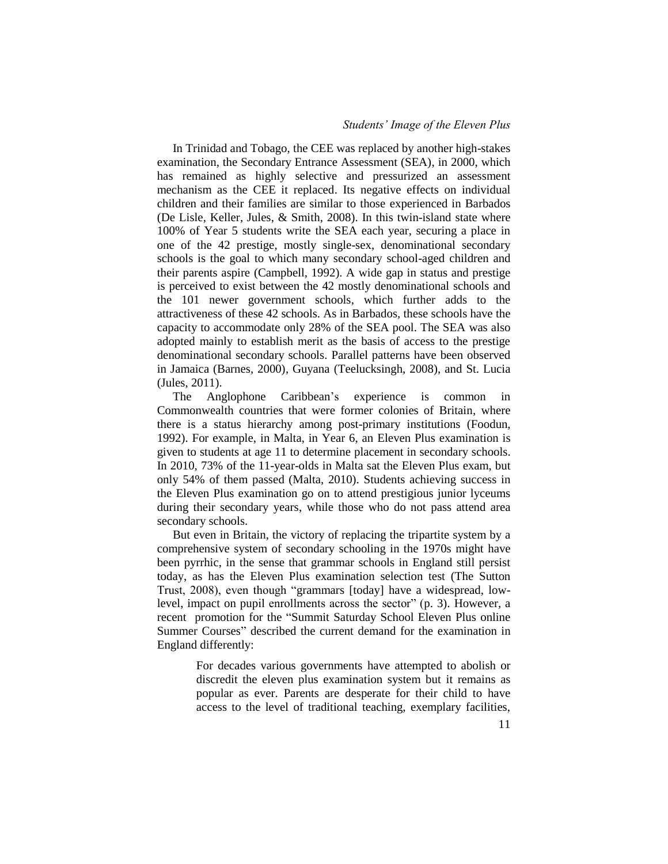In Trinidad and Tobago, the CEE was replaced by another high-stakes examination, the Secondary Entrance Assessment (SEA), in 2000, which has remained as highly selective and pressurized an assessment mechanism as the CEE it replaced. Its negative effects on individual children and their families are similar to those experienced in Barbados (De Lisle, Keller, Jules, & Smith, 2008). In this twin-island state where 100% of Year 5 students write the SEA each year, securing a place in one of the 42 prestige, mostly single-sex, denominational secondary schools is the goal to which many secondary school-aged children and their parents aspire (Campbell, 1992). A wide gap in status and prestige is perceived to exist between the 42 mostly denominational schools and the 101 newer government schools, which further adds to the attractiveness of these 42 schools. As in Barbados, these schools have the capacity to accommodate only 28% of the SEA pool. The SEA was also adopted mainly to establish merit as the basis of access to the prestige denominational secondary schools. Parallel patterns have been observed in Jamaica (Barnes, 2000), Guyana (Teelucksingh, 2008), and St. Lucia (Jules, 2011).

The Anglophone Caribbean's experience is common in Commonwealth countries that were former colonies of Britain, where there is a status hierarchy among post-primary institutions (Foodun, 1992). For example, in Malta, in Year 6, an Eleven Plus examination is given to students at age 11 to determine placement in secondary schools. In 2010, 73% of the 11-year-olds in Malta sat the Eleven Plus exam, but only 54% of them passed (Malta, 2010). Students achieving success in the Eleven Plus examination go on to attend prestigious junior lyceums during their secondary years, while those who do not pass attend area secondary schools.

But even in Britain, the victory of replacing the tripartite system by a comprehensive system of secondary schooling in the 1970s might have been pyrrhic, in the sense that grammar schools in England still persist today, as has the Eleven Plus examination selection test (The Sutton Trust, 2008), even though "grammars [today] have a widespread, lowlevel, impact on pupil enrollments across the sector" (p. 3). However, a recent promotion for the "Summit Saturday School Eleven Plus online Summer Courses" described the current demand for the examination in England differently:

> For decades various governments have attempted to abolish or discredit the eleven plus examination system but it remains as popular as ever. Parents are desperate for their child to have access to the level of traditional teaching, exemplary facilities,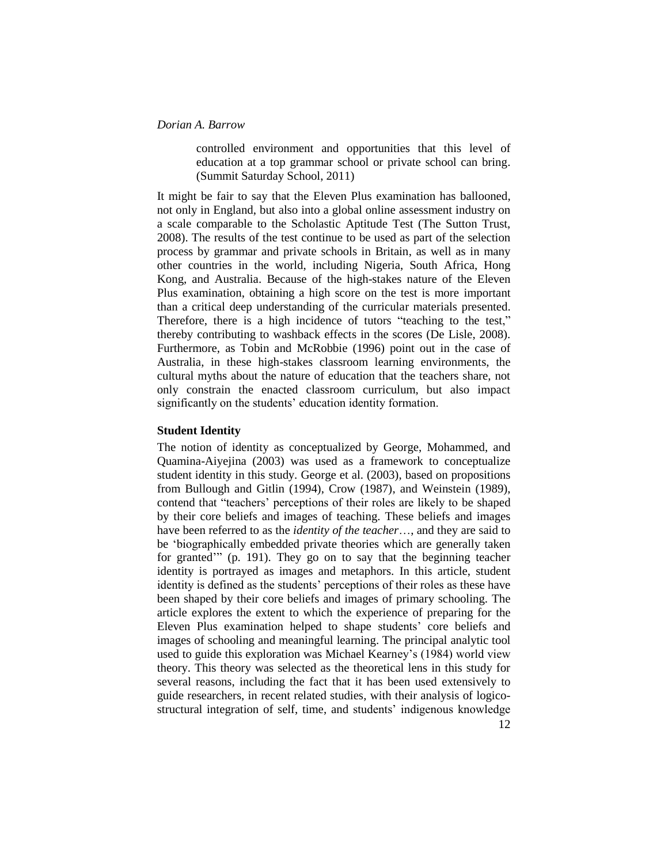controlled environment and opportunities that this level of education at a top grammar school or private school can bring. (Summit Saturday School, 2011)

It might be fair to say that the Eleven Plus examination has ballooned, not only in England, but also into a global online assessment industry on a scale comparable to the Scholastic Aptitude Test (The Sutton Trust, 2008). The results of the test continue to be used as part of the selection process by grammar and private schools in Britain, as well as in many other countries in the world, including Nigeria, South Africa, Hong Kong, and Australia. Because of the high-stakes nature of the Eleven Plus examination, obtaining a high score on the test is more important than a critical deep understanding of the curricular materials presented. Therefore, there is a high incidence of tutors "teaching to the test," thereby contributing to washback effects in the scores (De Lisle, 2008). Furthermore, as Tobin and McRobbie (1996) point out in the case of Australia, in these high-stakes classroom learning environments, the cultural myths about the nature of education that the teachers share, not only constrain the enacted classroom curriculum, but also impact significantly on the students' education identity formation.

## **Student Identity**

The notion of identity as conceptualized by George, Mohammed, and Quamina-Aiyejina (2003) was used as a framework to conceptualize student identity in this study. George et al. (2003), based on propositions from Bullough and Gitlin (1994), Crow (1987), and Weinstein (1989), contend that "teachers' perceptions of their roles are likely to be shaped by their core beliefs and images of teaching. These beliefs and images have been referred to as the *identity of the teacher*…, and they are said to be 'biographically embedded private theories which are generally taken for granted" (p. 191). They go on to say that the beginning teacher identity is portrayed as images and metaphors. In this article, student identity is defined as the students' perceptions of their roles as these have been shaped by their core beliefs and images of primary schooling. The article explores the extent to which the experience of preparing for the Eleven Plus examination helped to shape students' core beliefs and images of schooling and meaningful learning. The principal analytic tool used to guide this exploration was Michael Kearney's (1984) world view theory. This theory was selected as the theoretical lens in this study for several reasons, including the fact that it has been used extensively to guide researchers, in recent related studies, with their analysis of logicostructural integration of self, time, and students' indigenous knowledge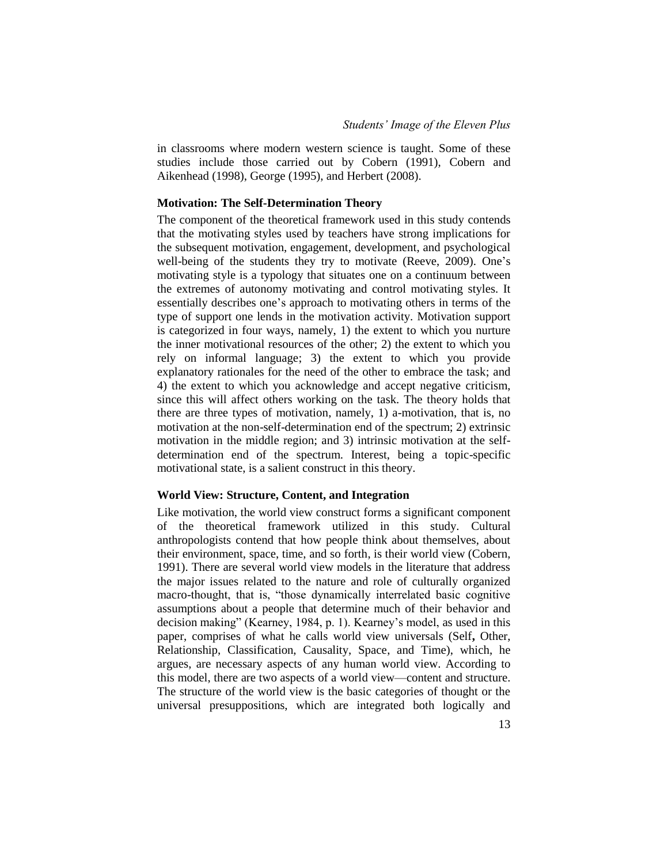in classrooms where modern western science is taught. Some of these studies include those carried out by Cobern (1991), Cobern and Aikenhead (1998), George (1995), and Herbert (2008).

# **Motivation: The Self-Determination Theory**

The component of the theoretical framework used in this study contends that the motivating styles used by teachers have strong implications for the subsequent motivation, engagement, development, and psychological well-being of the students they try to motivate (Reeve, 2009). One's motivating style is a typology that situates one on a continuum between the extremes of autonomy motivating and control motivating styles. It essentially describes one's approach to motivating others in terms of the type of support one lends in the motivation activity. Motivation support is categorized in four ways, namely, 1) the extent to which you nurture the inner motivational resources of the other; 2) the extent to which you rely on informal language; 3) the extent to which you provide explanatory rationales for the need of the other to embrace the task; and 4) the extent to which you acknowledge and accept negative criticism, since this will affect others working on the task. The theory holds that there are three types of motivation, namely, 1) a-motivation, that is, no motivation at the non-self-determination end of the spectrum; 2) extrinsic motivation in the middle region; and 3) intrinsic motivation at the selfdetermination end of the spectrum. Interest, being a topic-specific motivational state, is a salient construct in this theory.

### **World View: Structure, Content, and Integration**

Like motivation, the world view construct forms a significant component of the theoretical framework utilized in this study. Cultural anthropologists contend that how people think about themselves, about their environment, space, time, and so forth, is their world view (Cobern, 1991). There are several world view models in the literature that address the major issues related to the nature and role of culturally organized macro-thought, that is, "those dynamically interrelated basic cognitive assumptions about a people that determine much of their behavior and decision making" (Kearney, 1984, p. 1). Kearney's model, as used in this paper, comprises of what he calls world view universals (Self**,** Other, Relationship, Classification, Causality, Space, and Time), which, he argues, are necessary aspects of any human world view. According to this model, there are two aspects of a world view—content and structure. The structure of the world view is the basic categories of thought or the universal presuppositions, which are integrated both logically and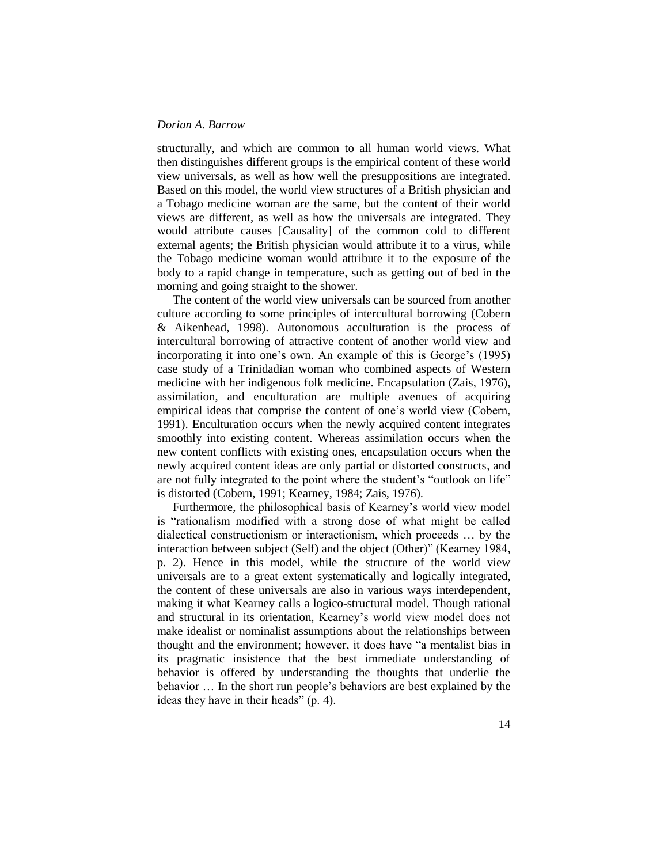structurally, and which are common to all human world views. What then distinguishes different groups is the empirical content of these world view universals, as well as how well the presuppositions are integrated. Based on this model, the world view structures of a British physician and a Tobago medicine woman are the same, but the content of their world views are different, as well as how the universals are integrated. They would attribute causes [Causality] of the common cold to different external agents; the British physician would attribute it to a virus, while the Tobago medicine woman would attribute it to the exposure of the body to a rapid change in temperature, such as getting out of bed in the morning and going straight to the shower.

The content of the world view universals can be sourced from another culture according to some principles of intercultural borrowing (Cobern & Aikenhead, 1998). Autonomous acculturation is the process of intercultural borrowing of attractive content of another world view and incorporating it into one's own. An example of this is George's (1995) case study of a Trinidadian woman who combined aspects of Western medicine with her indigenous folk medicine. Encapsulation (Zais, 1976), assimilation, and enculturation are multiple avenues of acquiring empirical ideas that comprise the content of one's world view (Cobern, 1991). Enculturation occurs when the newly acquired content integrates smoothly into existing content. Whereas assimilation occurs when the new content conflicts with existing ones, encapsulation occurs when the newly acquired content ideas are only partial or distorted constructs, and are not fully integrated to the point where the student's "outlook on life" is distorted (Cobern, 1991; Kearney, 1984; Zais, 1976).

Furthermore, the philosophical basis of Kearney's world view model is "rationalism modified with a strong dose of what might be called dialectical constructionism or interactionism, which proceeds … by the interaction between subject (Self) and the object (Other)" (Kearney 1984, p. 2). Hence in this model, while the structure of the world view universals are to a great extent systematically and logically integrated, the content of these universals are also in various ways interdependent, making it what Kearney calls a logico-structural model. Though rational and structural in its orientation, Kearney's world view model does not make idealist or nominalist assumptions about the relationships between thought and the environment; however, it does have "a mentalist bias in its pragmatic insistence that the best immediate understanding of behavior is offered by understanding the thoughts that underlie the behavior … In the short run people's behaviors are best explained by the ideas they have in their heads" (p. 4).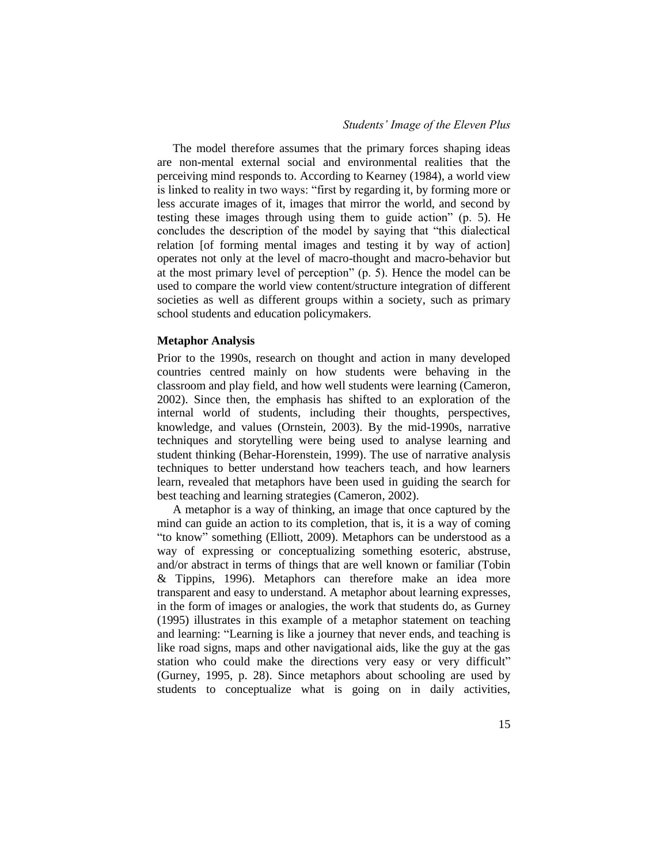The model therefore assumes that the primary forces shaping ideas are non-mental external social and environmental realities that the perceiving mind responds to. According to Kearney (1984), a world view is linked to reality in two ways: "first by regarding it, by forming more or less accurate images of it, images that mirror the world, and second by testing these images through using them to guide action"  $(p. 5)$ . He concludes the description of the model by saying that "this dialectical relation [of forming mental images and testing it by way of action] operates not only at the level of macro-thought and macro-behavior but at the most primary level of perception"  $(p, 5)$ . Hence the model can be used to compare the world view content/structure integration of different societies as well as different groups within a society, such as primary school students and education policymakers.

# **Metaphor Analysis**

Prior to the 1990s, research on thought and action in many developed countries centred mainly on how students were behaving in the classroom and play field, and how well students were learning (Cameron, 2002). Since then, the emphasis has shifted to an exploration of the internal world of students, including their thoughts, perspectives, knowledge, and values (Ornstein, 2003). By the mid-1990s, narrative techniques and storytelling were being used to analyse learning and student thinking (Behar-Horenstein, 1999). The use of narrative analysis techniques to better understand how teachers teach, and how learners learn, revealed that metaphors have been used in guiding the search for best teaching and learning strategies (Cameron, 2002).

A metaphor is a way of thinking, an image that once captured by the mind can guide an action to its completion, that is, it is a way of coming ―to know‖ something (Elliott, 2009). Metaphors can be understood as a way of expressing or conceptualizing something esoteric, abstruse, and/or abstract in terms of things that are well known or familiar (Tobin & Tippins, 1996). Metaphors can therefore make an idea more transparent and easy to understand. A metaphor about learning expresses, in the form of images or analogies, the work that students do, as Gurney (1995) illustrates in this example of a metaphor statement on teaching and learning: "Learning is like a journey that never ends, and teaching is like road signs, maps and other navigational aids, like the guy at the gas station who could make the directions very easy or very difficult" (Gurney, 1995, p. 28). Since metaphors about schooling are used by students to conceptualize what is going on in daily activities,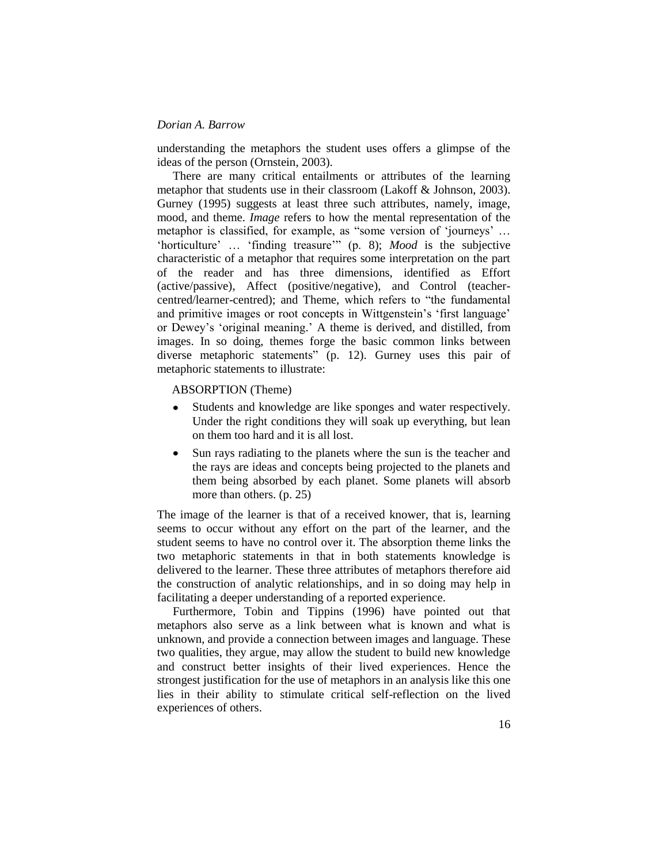understanding the metaphors the student uses offers a glimpse of the ideas of the person (Ornstein, 2003).

There are many critical entailments or attributes of the learning metaphor that students use in their classroom (Lakoff & Johnson, 2003). Gurney (1995) suggests at least three such attributes, namely, image, mood, and theme. *Image* refers to how the mental representation of the metaphor is classified, for example, as "some version of 'journeys' ... 'horticulture' ... 'finding treasure'" (p. 8); *Mood* is the subjective characteristic of a metaphor that requires some interpretation on the part of the reader and has three dimensions, identified as Effort (active/passive), Affect (positive/negative), and Control (teachercentred/learner-centred); and Theme, which refers to "the fundamental and primitive images or root concepts in Wittgenstein's ‗first language' or Dewey's 'original meaning.' A theme is derived, and distilled, from images. In so doing, themes forge the basic common links between diverse metaphoric statements" (p. 12). Gurney uses this pair of metaphoric statements to illustrate:

ABSORPTION (Theme)

- Students and knowledge are like sponges and water respectively.  $\bullet$ Under the right conditions they will soak up everything, but lean on them too hard and it is all lost.
- $\bullet$ Sun rays radiating to the planets where the sun is the teacher and the rays are ideas and concepts being projected to the planets and them being absorbed by each planet. Some planets will absorb more than others. (p. 25)

The image of the learner is that of a received knower, that is, learning seems to occur without any effort on the part of the learner, and the student seems to have no control over it. The absorption theme links the two metaphoric statements in that in both statements knowledge is delivered to the learner. These three attributes of metaphors therefore aid the construction of analytic relationships, and in so doing may help in facilitating a deeper understanding of a reported experience.

Furthermore, Tobin and Tippins (1996) have pointed out that metaphors also serve as a link between what is known and what is unknown, and provide a connection between images and language. These two qualities, they argue, may allow the student to build new knowledge and construct better insights of their lived experiences. Hence the strongest justification for the use of metaphors in an analysis like this one lies in their ability to stimulate critical self-reflection on the lived experiences of others.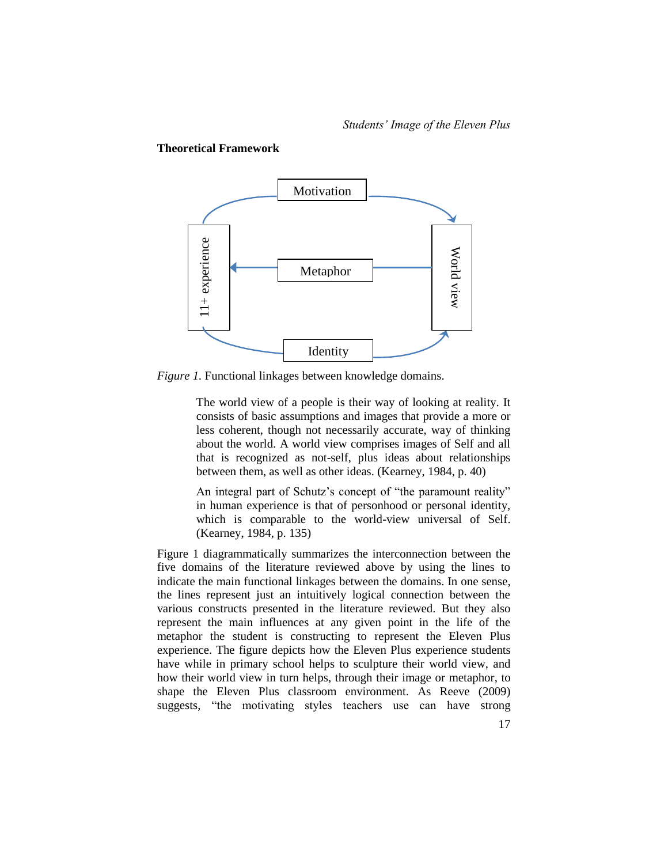**Theoretical Framework**



*Figure 1.* Functional linkages between knowledge domains.

The world view of a people is their way of looking at reality. It consists of basic assumptions and images that provide a more or less coherent, though not necessarily accurate, way of thinking about the world. A world view comprises images of Self and all that is recognized as not-self, plus ideas about relationships between them, as well as other ideas. (Kearney, 1984, p. 40)

An integral part of Schutz's concept of "the paramount reality" in human experience is that of personhood or personal identity, which is comparable to the world-view universal of Self. (Kearney, 1984, p. 135)

Figure 1 diagrammatically summarizes the interconnection between the five domains of the literature reviewed above by using the lines to indicate the main functional linkages between the domains. In one sense, the lines represent just an intuitively logical connection between the various constructs presented in the literature reviewed. But they also represent the main influences at any given point in the life of the metaphor the student is constructing to represent the Eleven Plus experience. The figure depicts how the Eleven Plus experience students have while in primary school helps to sculpture their world view, and how their world view in turn helps, through their image or metaphor, to shape the Eleven Plus classroom environment. As Reeve (2009) Suggests, Alternative motion of a people is their world of the motion of the motion of the motion of the motion of the motion and the motion of the motion of the motion of the motion of the motion of the motion of the mot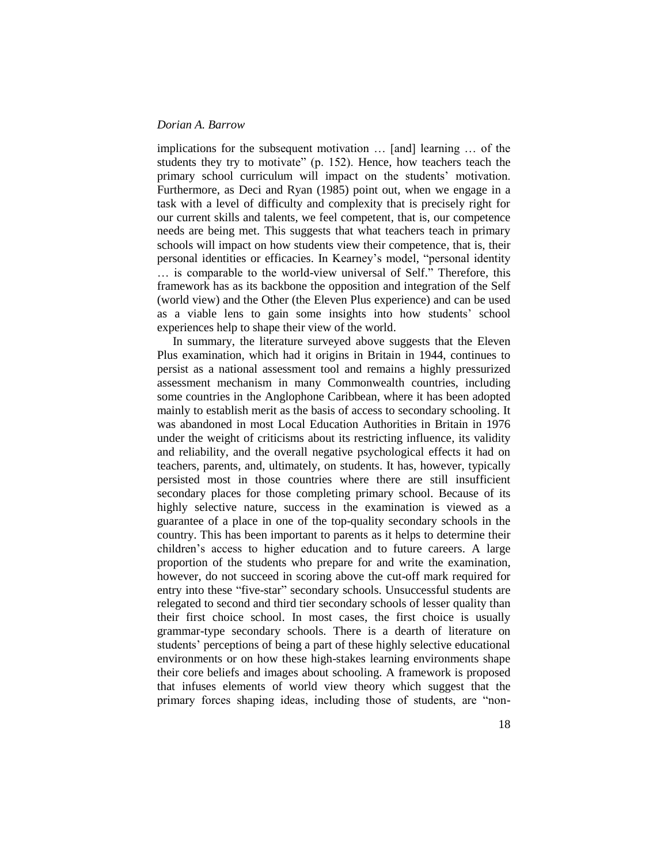implications for the subsequent motivation … [and] learning … of the students they try to motivate" (p. 152). Hence, how teachers teach the primary school curriculum will impact on the students' motivation. Furthermore, as Deci and Ryan (1985) point out, when we engage in a task with a level of difficulty and complexity that is precisely right for our current skills and talents, we feel competent, that is, our competence needs are being met. This suggests that what teachers teach in primary schools will impact on how students view their competence, that is, their personal identities or efficacies. In Kearney's model, "personal identity ... is comparable to the world-view universal of Self." Therefore, this framework has as its backbone the opposition and integration of the Self (world view) and the Other (the Eleven Plus experience) and can be used as a viable lens to gain some insights into how students' school experiences help to shape their view of the world.

In summary, the literature surveyed above suggests that the Eleven Plus examination, which had it origins in Britain in 1944, continues to persist as a national assessment tool and remains a highly pressurized assessment mechanism in many Commonwealth countries, including some countries in the Anglophone Caribbean, where it has been adopted mainly to establish merit as the basis of access to secondary schooling. It was abandoned in most Local Education Authorities in Britain in 1976 under the weight of criticisms about its restricting influence, its validity and reliability, and the overall negative psychological effects it had on teachers, parents, and, ultimately, on students. It has, however, typically persisted most in those countries where there are still insufficient secondary places for those completing primary school. Because of its highly selective nature, success in the examination is viewed as a guarantee of a place in one of the top-quality secondary schools in the country. This has been important to parents as it helps to determine their children's access to higher education and to future careers. A large proportion of the students who prepare for and write the examination, however, do not succeed in scoring above the cut-off mark required for entry into these "five-star" secondary schools. Unsuccessful students are relegated to second and third tier secondary schools of lesser quality than their first choice school. In most cases, the first choice is usually grammar-type secondary schools. There is a dearth of literature on students' perceptions of being a part of these highly selective educational environments or on how these high-stakes learning environments shape their core beliefs and images about schooling. A framework is proposed that infuses elements of world view theory which suggest that the primary forces shaping ideas, including those of students, are "non-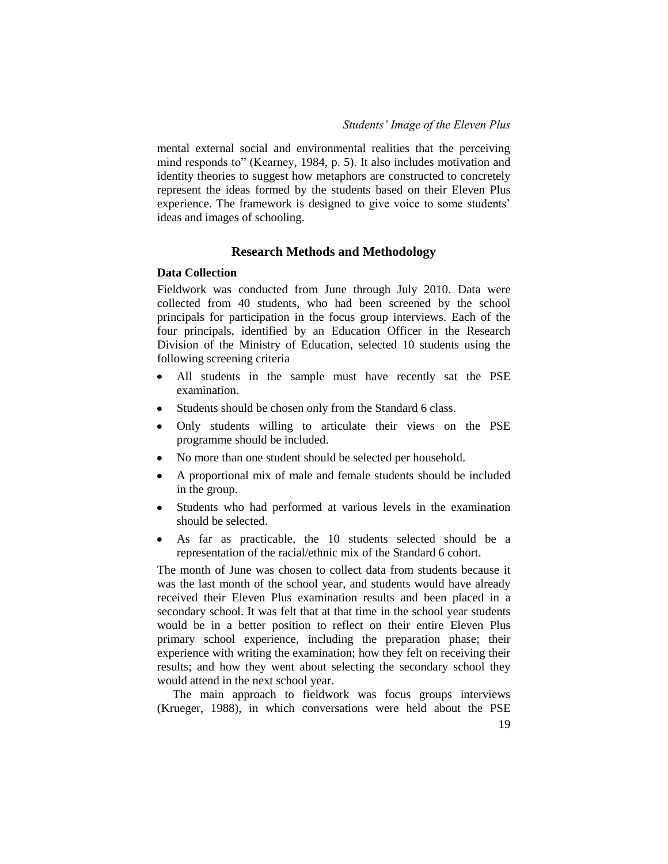mental external social and environmental realities that the perceiving mind responds to" (Kearney, 1984, p. 5). It also includes motivation and identity theories to suggest how metaphors are constructed to concretely represent the ideas formed by the students based on their Eleven Plus experience. The framework is designed to give voice to some students' ideas and images of schooling.

# **Research Methods and Methodology**

# **Data Collection**

Fieldwork was conducted from June through July 2010. Data were collected from 40 students, who had been screened by the school principals for participation in the focus group interviews. Each of the four principals, identified by an Education Officer in the Research Division of the Ministry of Education, selected 10 students using the following screening criteria

- $\bullet$ All students in the sample must have recently sat the PSE examination.
- Students should be chosen only from the Standard 6 class.
- $\bullet$ Only students willing to articulate their views on the PSE programme should be included.
- No more than one student should be selected per household.  $\bullet$
- A proportional mix of male and female students should be included  $\bullet$ in the group.
- Students who had performed at various levels in the examination should be selected.
- As far as practicable, the 10 students selected should be a representation of the racial/ethnic mix of the Standard 6 cohort.

The month of June was chosen to collect data from students because it was the last month of the school year, and students would have already received their Eleven Plus examination results and been placed in a secondary school. It was felt that at that time in the school year students would be in a better position to reflect on their entire Eleven Plus primary school experience, including the preparation phase; their experience with writing the examination; how they felt on receiving their results; and how they went about selecting the secondary school they would attend in the next school year.

The main approach to fieldwork was focus groups interviews (Krueger, 1988), in which conversations were held about the PSE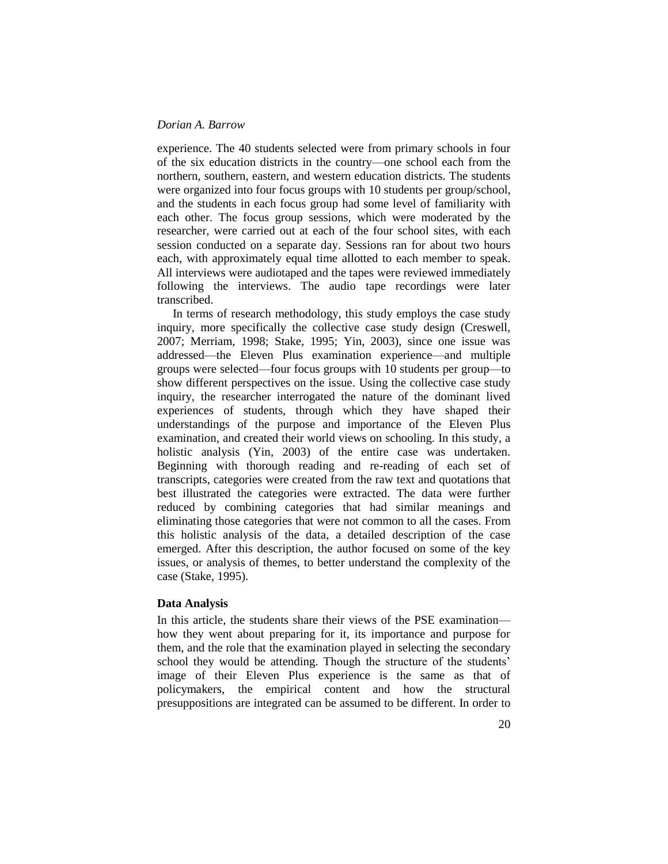experience. The 40 students selected were from primary schools in four of the six education districts in the country—one school each from the northern, southern, eastern, and western education districts. The students were organized into four focus groups with 10 students per group/school, and the students in each focus group had some level of familiarity with each other. The focus group sessions, which were moderated by the researcher, were carried out at each of the four school sites, with each session conducted on a separate day. Sessions ran for about two hours each, with approximately equal time allotted to each member to speak. All interviews were audiotaped and the tapes were reviewed immediately following the interviews. The audio tape recordings were later transcribed.

In terms of research methodology, this study employs the case study inquiry, more specifically the collective case study design (Creswell, 2007; Merriam, 1998; Stake, 1995; Yin, 2003), since one issue was addressed—the Eleven Plus examination experience—and multiple groups were selected—four focus groups with 10 students per group—to show different perspectives on the issue. Using the collective case study inquiry, the researcher interrogated the nature of the dominant lived experiences of students, through which they have shaped their understandings of the purpose and importance of the Eleven Plus examination, and created their world views on schooling. In this study, a holistic analysis (Yin, 2003) of the entire case was undertaken. Beginning with thorough reading and re-reading of each set of transcripts, categories were created from the raw text and quotations that best illustrated the categories were extracted. The data were further reduced by combining categories that had similar meanings and eliminating those categories that were not common to all the cases. From this holistic analysis of the data, a detailed description of the case emerged. After this description, the author focused on some of the key issues, or analysis of themes, to better understand the complexity of the case (Stake, 1995).

### **Data Analysis**

In this article, the students share their views of the PSE examination how they went about preparing for it, its importance and purpose for them, and the role that the examination played in selecting the secondary school they would be attending. Though the structure of the students' image of their Eleven Plus experience is the same as that of policymakers, the empirical content and how the structural presuppositions are integrated can be assumed to be different. In order to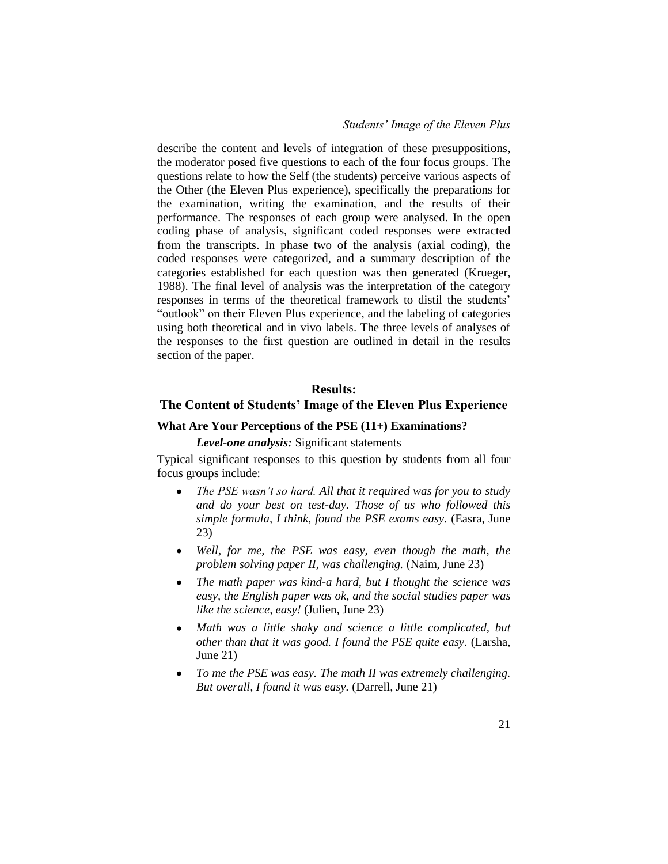describe the content and levels of integration of these presuppositions, the moderator posed five questions to each of the four focus groups. The questions relate to how the Self (the students) perceive various aspects of the Other (the Eleven Plus experience), specifically the preparations for the examination, writing the examination, and the results of their performance. The responses of each group were analysed. In the open coding phase of analysis, significant coded responses were extracted from the transcripts. In phase two of the analysis (axial coding), the coded responses were categorized, and a summary description of the categories established for each question was then generated (Krueger, 1988). The final level of analysis was the interpretation of the category responses in terms of the theoretical framework to distil the students' "outlook" on their Eleven Plus experience, and the labeling of categories using both theoretical and in vivo labels. The three levels of analyses of the responses to the first question are outlined in detail in the results section of the paper.

# **Results:**

# **The Content of Students' Image of the Eleven Plus Experience**

# **What Are Your Perceptions of the PSE (11+) Examinations?**

*Level-one analysis:* Significant statements

Typical significant responses to this question by students from all four focus groups include:

- $\bullet$ *The PSE wasn"t so hard. All that it required was for you to study and do your best on test-day. Those of us who followed this simple formula, I think, found the PSE exams easy.* (Easra, June 23)
- *Well, for me, the PSE was easy, even though the math, the problem solving paper II, was challenging.* (Naim, June 23)
- *The math paper was kind-a hard, but I thought the science was easy, the English paper was ok, and the social studies paper was like the science, easy!* (Julien, June 23)
- *Math was a little shaky and science a little complicated, but other than that it was good. I found the PSE quite easy.* (Larsha, June 21)
- *To me the PSE was easy. The math II was extremely challenging. But overall, I found it was easy.* (Darrell, June 21)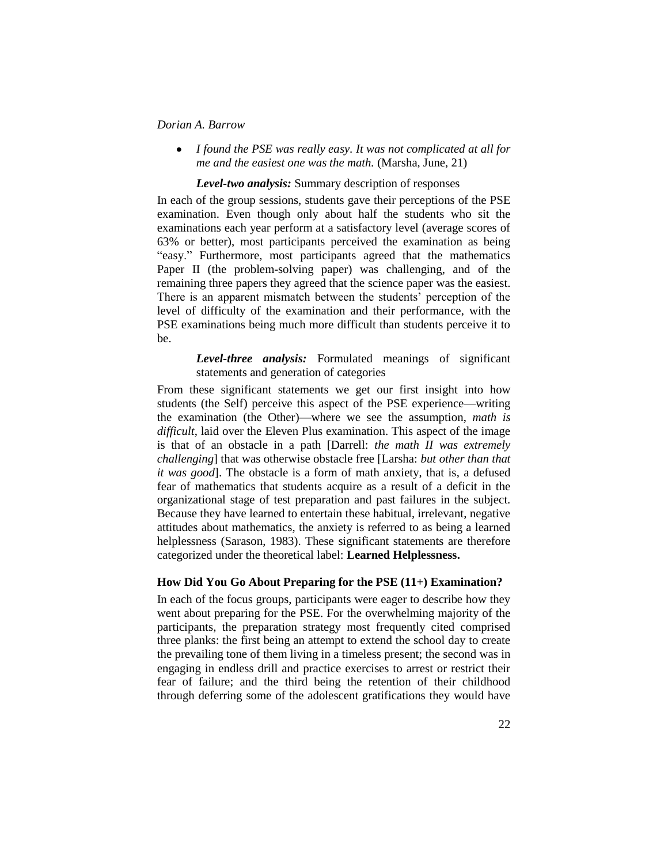*I found the PSE was really easy. It was not complicated at all for me and the easiest one was the math.* (Marsha, June, 21)

### *Level-two analysis:* Summary description of responses

In each of the group sessions, students gave their perceptions of the PSE examination. Even though only about half the students who sit the examinations each year perform at a satisfactory level (average scores of 63% or better), most participants perceived the examination as being "easy." Furthermore, most participants agreed that the mathematics Paper II (the problem-solving paper) was challenging, and of the remaining three papers they agreed that the science paper was the easiest. There is an apparent mismatch between the students' perception of the level of difficulty of the examination and their performance, with the PSE examinations being much more difficult than students perceive it to be.

# *Level-three analysis:* Formulated meanings of significant statements and generation of categories

From these significant statements we get our first insight into how students (the Self) perceive this aspect of the PSE experience—writing the examination (the Other)—where we see the assumption, *math is difficult*, laid over the Eleven Plus examination. This aspect of the image is that of an obstacle in a path [Darrell: *the math II was extremely challenging*] that was otherwise obstacle free [Larsha: *but other than that it was good*]. The obstacle is a form of math anxiety, that is, a defused fear of mathematics that students acquire as a result of a deficit in the organizational stage of test preparation and past failures in the subject. Because they have learned to entertain these habitual, irrelevant, negative attitudes about mathematics, the anxiety is referred to as being a learned helplessness (Sarason, 1983). These significant statements are therefore categorized under the theoretical label: **Learned Helplessness.**

# **How Did You Go About Preparing for the PSE (11+) Examination?**

In each of the focus groups, participants were eager to describe how they went about preparing for the PSE. For the overwhelming majority of the participants, the preparation strategy most frequently cited comprised three planks: the first being an attempt to extend the school day to create the prevailing tone of them living in a timeless present; the second was in engaging in endless drill and practice exercises to arrest or restrict their fear of failure; and the third being the retention of their childhood through deferring some of the adolescent gratifications they would have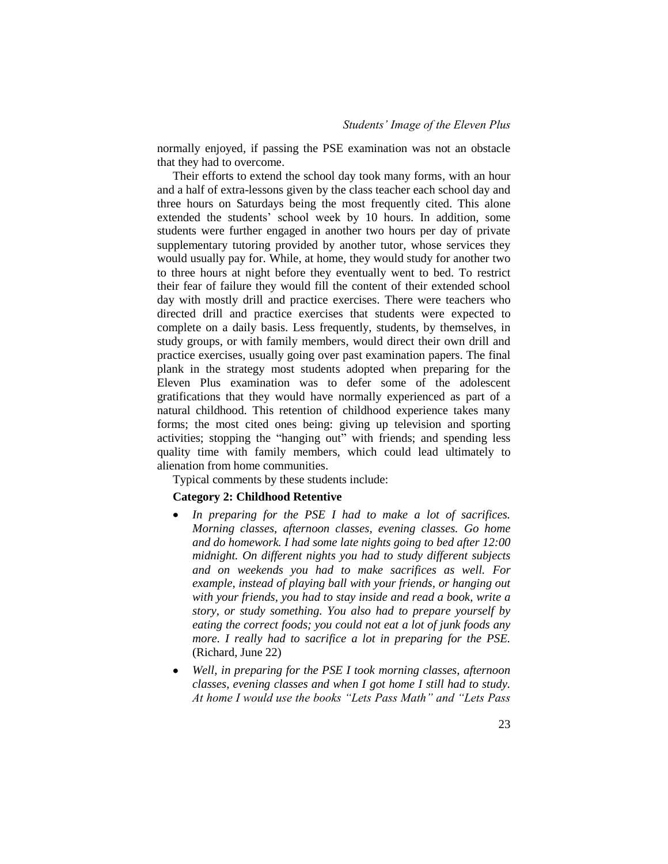normally enjoyed, if passing the PSE examination was not an obstacle that they had to overcome.

Their efforts to extend the school day took many forms, with an hour and a half of extra-lessons given by the class teacher each school day and three hours on Saturdays being the most frequently cited. This alone extended the students' school week by 10 hours. In addition, some students were further engaged in another two hours per day of private supplementary tutoring provided by another tutor, whose services they would usually pay for. While, at home, they would study for another two to three hours at night before they eventually went to bed. To restrict their fear of failure they would fill the content of their extended school day with mostly drill and practice exercises. There were teachers who directed drill and practice exercises that students were expected to complete on a daily basis. Less frequently, students, by themselves, in study groups, or with family members, would direct their own drill and practice exercises, usually going over past examination papers. The final plank in the strategy most students adopted when preparing for the Eleven Plus examination was to defer some of the adolescent gratifications that they would have normally experienced as part of a natural childhood. This retention of childhood experience takes many forms; the most cited ones being: giving up television and sporting activities; stopping the "hanging out" with friends; and spending less quality time with family members, which could lead ultimately to alienation from home communities.

Typical comments by these students include:

### **Category 2: Childhood Retentive**

- *In preparing for the PSE I had to make a lot of sacrifices. Morning classes, afternoon classes, evening classes. Go home and do homework. I had some late nights going to bed after 12:00 midnight. On different nights you had to study different subjects and on weekends you had to make sacrifices as well. For example, instead of playing ball with your friends, or hanging out with your friends, you had to stay inside and read a book, write a story, or study something. You also had to prepare yourself by eating the correct foods; you could not eat a lot of junk foods any more. I really had to sacrifice a lot in preparing for the PSE.* (Richard, June 22)
- *Well, in preparing for the PSE I took morning classes, afternoon classes, evening classes and when I got home I still had to study. At home I would use the books "Lets Pass Math" and "Lets Pass*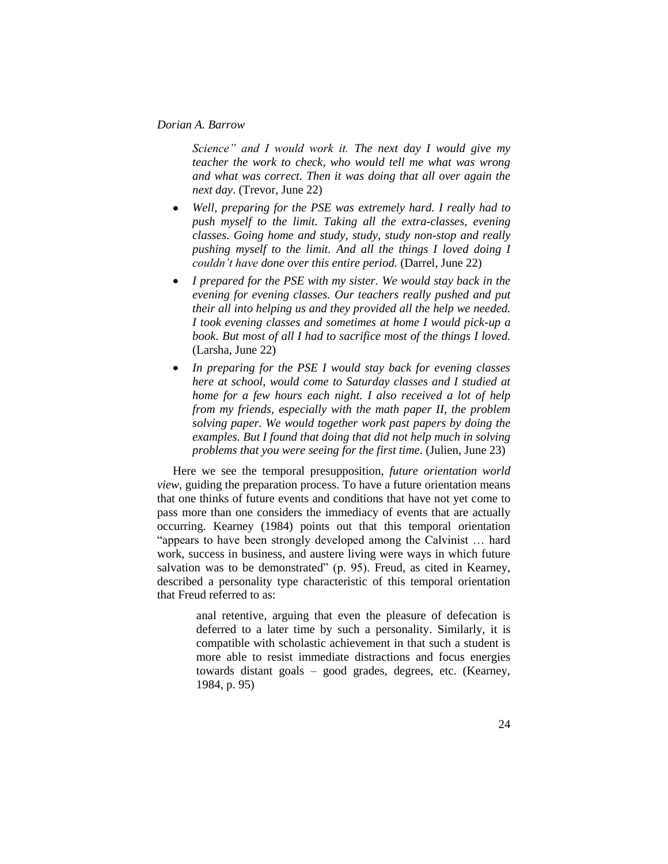*Science" and I would work it. The next day I would give my teacher the work to check, who would tell me what was wrong and what was correct. Then it was doing that all over again the next day*. (Trevor, June 22)

- *Well, preparing for the PSE was extremely hard. I really had to*   $\bullet$ *push myself to the limit. Taking all the extra-classes, evening classes. Going home and study, study, study non-stop and really pushing myself to the limit. And all the things I loved doing I couldn"t have done over this entire period.* (Darrel, June 22)
- *I prepared for the PSE with my sister. We would stay back in the evening for evening classes. Our teachers really pushed and put their all into helping us and they provided all the help we needed. I took evening classes and sometimes at home I would pick-up a book. But most of all I had to sacrifice most of the things I loved.* (Larsha, June 22)
- *In preparing for the PSE I would stay back for evening classes here at school, would come to Saturday classes and I studied at home for a few hours each night. I also received a lot of help from my friends, especially with the math paper II, the problem solving paper. We would together work past papers by doing the examples. But I found that doing that did not help much in solving problems that you were seeing for the first time*. (Julien, June 23)

Here we see the temporal presupposition, *future orientation world view*, guiding the preparation process. To have a future orientation means that one thinks of future events and conditions that have not yet come to pass more than one considers the immediacy of events that are actually occurring. Kearney (1984) points out that this temporal orientation "appears to have been strongly developed among the Calvinist ... hard work, success in business, and austere living were ways in which future salvation was to be demonstrated" (p. 95). Freud, as cited in Kearney, described a personality type characteristic of this temporal orientation that Freud referred to as:

> anal retentive, arguing that even the pleasure of defecation is deferred to a later time by such a personality. Similarly, it is compatible with scholastic achievement in that such a student is more able to resist immediate distractions and focus energies towards distant goals – good grades, degrees, etc. (Kearney, 1984, p. 95)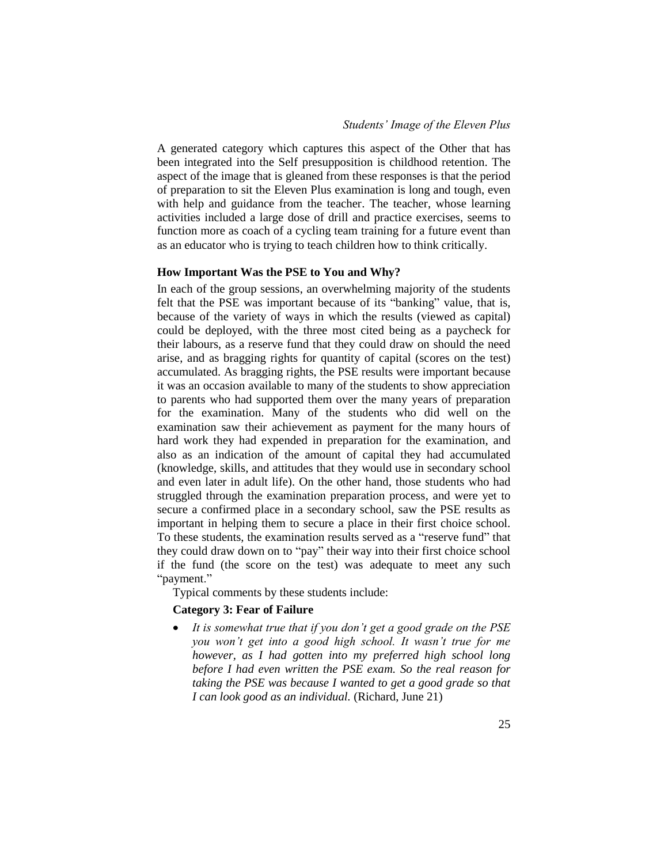# *Students" Image of the Eleven Plus*

A generated category which captures this aspect of the Other that has been integrated into the Self presupposition is childhood retention. The aspect of the image that is gleaned from these responses is that the period of preparation to sit the Eleven Plus examination is long and tough, even with help and guidance from the teacher. The teacher, whose learning activities included a large dose of drill and practice exercises, seems to function more as coach of a cycling team training for a future event than as an educator who is trying to teach children how to think critically.

# **How Important Was the PSE to You and Why?**

In each of the group sessions, an overwhelming majority of the students felt that the PSE was important because of its "banking" value, that is, because of the variety of ways in which the results (viewed as capital) could be deployed, with the three most cited being as a paycheck for their labours, as a reserve fund that they could draw on should the need arise, and as bragging rights for quantity of capital (scores on the test) accumulated. As bragging rights, the PSE results were important because it was an occasion available to many of the students to show appreciation to parents who had supported them over the many years of preparation for the examination. Many of the students who did well on the examination saw their achievement as payment for the many hours of hard work they had expended in preparation for the examination, and also as an indication of the amount of capital they had accumulated (knowledge, skills, and attitudes that they would use in secondary school and even later in adult life). On the other hand, those students who had struggled through the examination preparation process, and were yet to secure a confirmed place in a secondary school, saw the PSE results as important in helping them to secure a place in their first choice school. To these students, the examination results served as a "reserve fund" that they could draw down on to "pay" their way into their first choice school if the fund (the score on the test) was adequate to meet any such "payment."

Typical comments by these students include:

#### **Category 3: Fear of Failure**

 $\bullet$ *It is somewhat true that if you don"t get a good grade on the PSE you won"t get into a good high school. It wasn"t true for me however, as I had gotten into my preferred high school long before I had even written the PSE exam. So the real reason for taking the PSE was because I wanted to get a good grade so that I can look good as an individual.* (Richard, June 21)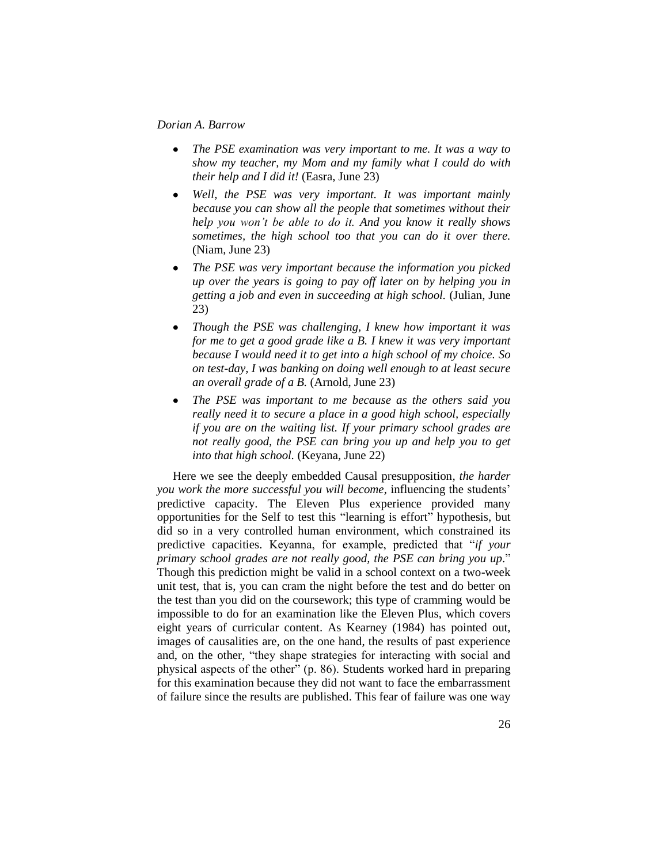- *The PSE examination was very important to me. It was a way to*   $\bullet$ *show my teacher, my Mom and my family what I could do with their help and I did it!* (Easra, June 23)
- *Well, the PSE was very important. It was important mainly because you can show all the people that sometimes without their help you won"t be able to do it. And you know it really shows sometimes, the high school too that you can do it over there.*  (Niam, June 23)
- $\bullet$ *The PSE was very important because the information you picked up over the years is going to pay off later on by helping you in getting a job and even in succeeding at high school.* (Julian, June 23)
- $\bullet$ *Though the PSE was challenging, I knew how important it was for me to get a good grade like a B. I knew it was very important because I would need it to get into a high school of my choice. So on test-day, I was banking on doing well enough to at least secure an overall grade of a B.* (Arnold, June 23)
- $\bullet$ *The PSE was important to me because as the others said you really need it to secure a place in a good high school, especially if you are on the waiting list. If your primary school grades are not really good, the PSE can bring you up and help you to get into that high school.* (Keyana, June 22)

Here we see the deeply embedded Causal presupposition*, the harder you work the more successful you will become*, influencing the students' predictive capacity. The Eleven Plus experience provided many opportunities for the Self to test this "learning is effort" hypothesis, but did so in a very controlled human environment, which constrained its predictive capacities. Keyanna, for example, predicted that "*if your* primary school grades are not really good, the PSE can bring you up." Though this prediction might be valid in a school context on a two-week unit test, that is, you can cram the night before the test and do better on the test than you did on the coursework; this type of cramming would be impossible to do for an examination like the Eleven Plus, which covers eight years of curricular content. As Kearney (1984) has pointed out, images of causalities are, on the one hand, the results of past experience and, on the other, "they shape strategies for interacting with social and physical aspects of the other" (p. 86). Students worked hard in preparing for this examination because they did not want to face the embarrassment of failure since the results are published. This fear of failure was one way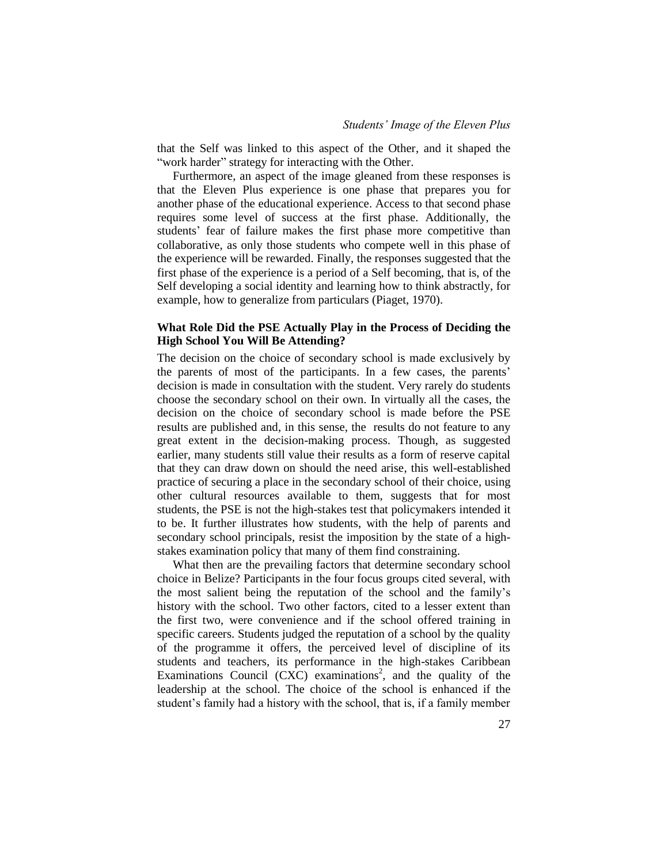that the Self was linked to this aspect of the Other, and it shaped the "work harder" strategy for interacting with the Other.

Furthermore, an aspect of the image gleaned from these responses is that the Eleven Plus experience is one phase that prepares you for another phase of the educational experience. Access to that second phase requires some level of success at the first phase. Additionally, the students' fear of failure makes the first phase more competitive than collaborative, as only those students who compete well in this phase of the experience will be rewarded. Finally, the responses suggested that the first phase of the experience is a period of a Self becoming, that is, of the Self developing a social identity and learning how to think abstractly, for example, how to generalize from particulars (Piaget, 1970).

# **What Role Did the PSE Actually Play in the Process of Deciding the High School You Will Be Attending?**

The decision on the choice of secondary school is made exclusively by the parents of most of the participants. In a few cases, the parents' decision is made in consultation with the student. Very rarely do students choose the secondary school on their own. In virtually all the cases, the decision on the choice of secondary school is made before the PSE results are published and, in this sense, the results do not feature to any great extent in the decision-making process. Though, as suggested earlier, many students still value their results as a form of reserve capital that they can draw down on should the need arise, this well-established practice of securing a place in the secondary school of their choice, using other cultural resources available to them, suggests that for most students, the PSE is not the high-stakes test that policymakers intended it to be. It further illustrates how students, with the help of parents and secondary school principals, resist the imposition by the state of a highstakes examination policy that many of them find constraining.

What then are the prevailing factors that determine secondary school choice in Belize? Participants in the four focus groups cited several, with the most salient being the reputation of the school and the family's history with the school. Two other factors, cited to a lesser extent than the first two, were convenience and if the school offered training in specific careers. Students judged the reputation of a school by the quality of the programme it offers, the perceived level of discipline of its students and teachers, its performance in the high-stakes Caribbean Examinations Council  $(CXC)$  examinations<sup>2</sup>, and the quality of the leadership at the school. The choice of the school is enhanced if the student's family had a history with the school, that is, if a family member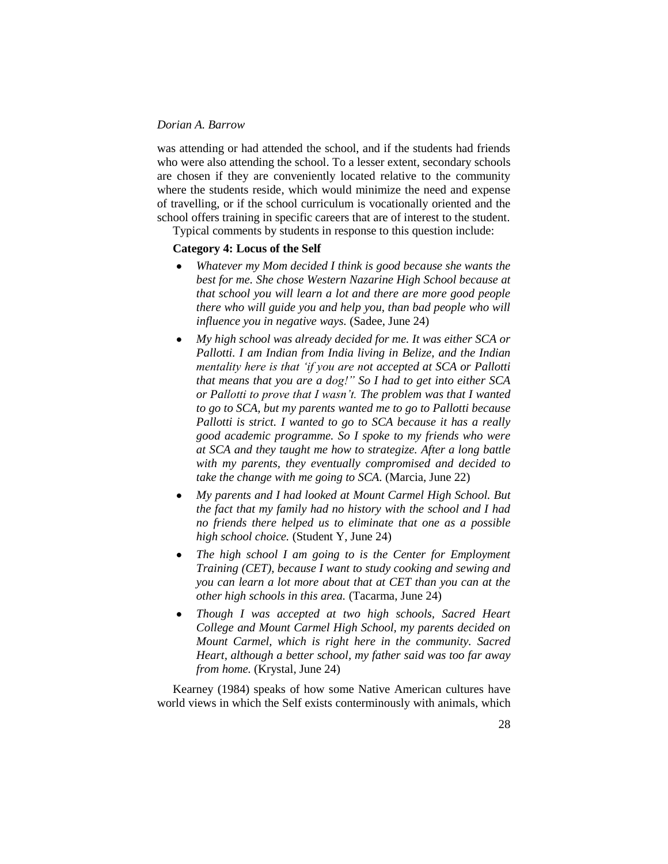was attending or had attended the school, and if the students had friends who were also attending the school. To a lesser extent, secondary schools are chosen if they are conveniently located relative to the community where the students reside, which would minimize the need and expense of travelling, or if the school curriculum is vocationally oriented and the school offers training in specific careers that are of interest to the student.

Typical comments by students in response to this question include:

# **Category 4: Locus of the Self**

- *Whatever my Mom decided I think is good because she wants the best for me. She chose Western Nazarine High School because at that school you will learn a lot and there are more good people there who will guide you and help you, than bad people who will influence you in negative ways.* (Sadee, June 24)
- *My high school was already decided for me. It was either SCA or Pallotti. I am Indian from India living in Belize, and the Indian mentality here is that "if you are not accepted at SCA or Pallotti that means that you are a dog!" So I had to get into either SCA or Pallotti to prove that I wasn"t. The problem was that I wanted to go to SCA, but my parents wanted me to go to Pallotti because Pallotti is strict. I wanted to go to SCA because it has a really good academic programme. So I spoke to my friends who were at SCA and they taught me how to strategize. After a long battle with my parents, they eventually compromised and decided to take the change with me going to SCA.* (Marcia, June 22)
- *My parents and I had looked at Mount Carmel High School. But the fact that my family had no history with the school and I had no friends there helped us to eliminate that one as a possible high school choice.* (Student Y, June 24)
- *The high school I am going to is the Center for Employment Training (CET), because I want to study cooking and sewing and you can learn a lot more about that at CET than you can at the other high schools in this area.* (Tacarma, June 24)
- *Though I was accepted at two high schools, Sacred Heart College and Mount Carmel High School, my parents decided on Mount Carmel, which is right here in the community. Sacred Heart, although a better school, my father said was too far away from home.* (Krystal, June 24)

Kearney (1984) speaks of how some Native American cultures have world views in which the Self exists conterminously with animals, which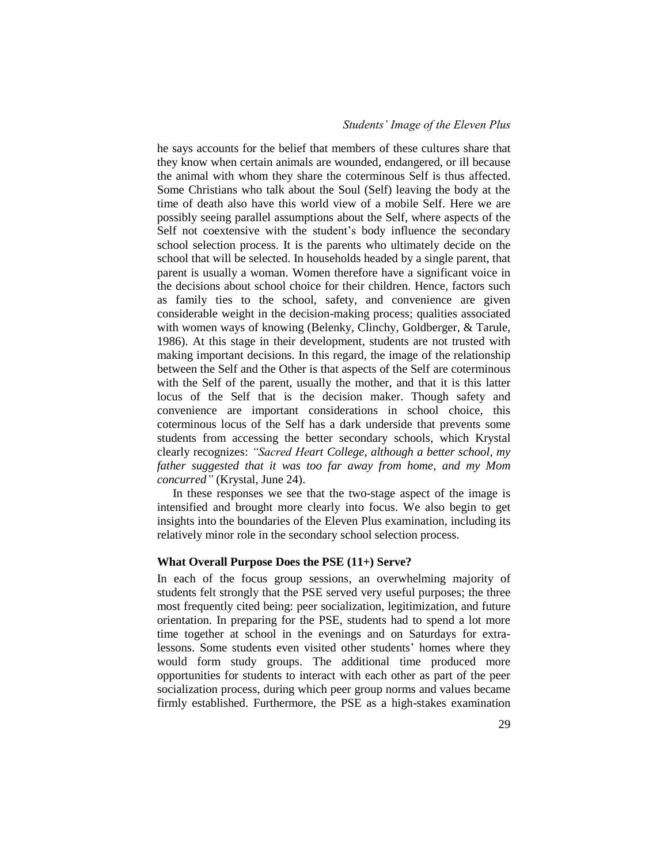he says accounts for the belief that members of these cultures share that they know when certain animals are wounded, endangered, or ill because the animal with whom they share the coterminous Self is thus affected. Some Christians who talk about the Soul (Self) leaving the body at the time of death also have this world view of a mobile Self. Here we are possibly seeing parallel assumptions about the Self, where aspects of the Self not coextensive with the student's body influence the secondary school selection process. It is the parents who ultimately decide on the school that will be selected. In households headed by a single parent, that parent is usually a woman. Women therefore have a significant voice in the decisions about school choice for their children. Hence, factors such as family ties to the school, safety, and convenience are given considerable weight in the decision-making process; qualities associated with women ways of knowing (Belenky, Clinchy, Goldberger, & Tarule, 1986). At this stage in their development, students are not trusted with making important decisions. In this regard, the image of the relationship between the Self and the Other is that aspects of the Self are coterminous with the Self of the parent, usually the mother, and that it is this latter locus of the Self that is the decision maker. Though safety and convenience are important considerations in school choice, this coterminous locus of the Self has a dark underside that prevents some students from accessing the better secondary schools, which Krystal clearly recognizes: *"Sacred Heart College, although a better school, my father suggested that it was too far away from home, and my Mom concurred"* (Krystal, June 24).

In these responses we see that the two-stage aspect of the image is intensified and brought more clearly into focus. We also begin to get insights into the boundaries of the Eleven Plus examination, including its relatively minor role in the secondary school selection process.

# **What Overall Purpose Does the PSE (11+) Serve?**

In each of the focus group sessions, an overwhelming majority of students felt strongly that the PSE served very useful purposes; the three most frequently cited being: peer socialization, legitimization, and future orientation. In preparing for the PSE, students had to spend a lot more time together at school in the evenings and on Saturdays for extralessons. Some students even visited other students' homes where they would form study groups. The additional time produced more opportunities for students to interact with each other as part of the peer socialization process, during which peer group norms and values became firmly established. Furthermore, the PSE as a high-stakes examination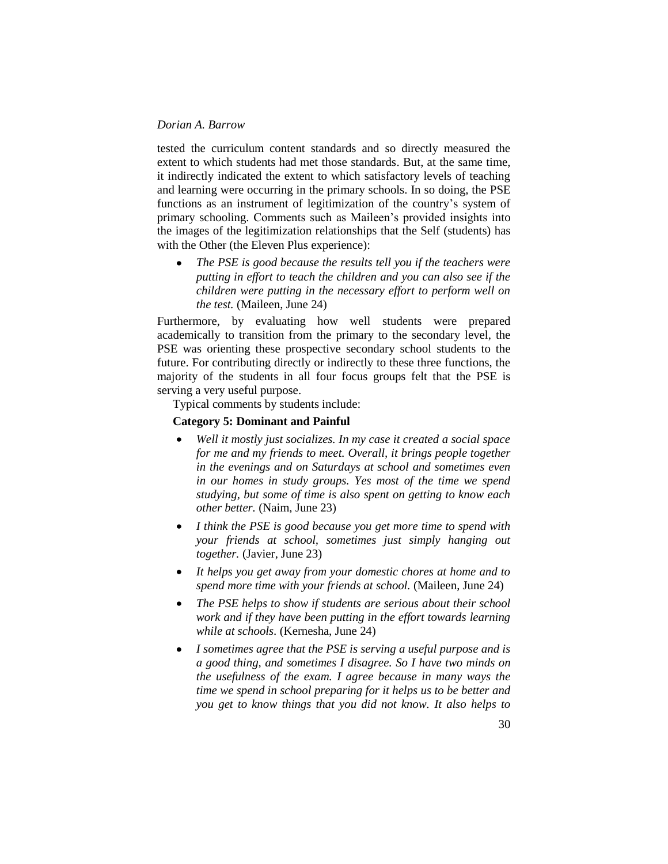tested the curriculum content standards and so directly measured the extent to which students had met those standards. But, at the same time, it indirectly indicated the extent to which satisfactory levels of teaching and learning were occurring in the primary schools. In so doing, the PSE functions as an instrument of legitimization of the country's system of primary schooling. Comments such as Maileen's provided insights into the images of the legitimization relationships that the Self (students) has with the Other (the Eleven Plus experience):

*The PSE is good because the results tell you if the teachers were putting in effort to teach the children and you can also see if the children were putting in the necessary effort to perform well on the test.* (Maileen, June 24)

Furthermore, by evaluating how well students were prepared academically to transition from the primary to the secondary level, the PSE was orienting these prospective secondary school students to the future. For contributing directly or indirectly to these three functions, the majority of the students in all four focus groups felt that the PSE is serving a very useful purpose.

Typical comments by students include:

# **Category 5: Dominant and Painful**

- *Well it mostly just socializes. In my case it created a social space for me and my friends to meet. Overall, it brings people together in the evenings and on Saturdays at school and sometimes even in our homes in study groups. Yes most of the time we spend studying, but some of time is also spent on getting to know each other better.* (Naim, June 23)
- *I think the PSE is good because you get more time to spend with your friends at school, sometimes just simply hanging out together.* (Javier, June 23)
- $\bullet$ *It helps you get away from your domestic chores at home and to spend more time with your friends at school.* (Maileen, June 24)
- *The PSE helps to show if students are serious about their school work and if they have been putting in the effort towards learning while at schools.* (Kernesha, June 24)
- *I sometimes agree that the PSE is serving a useful purpose and is a good thing, and sometimes I disagree. So I have two minds on the usefulness of the exam. I agree because in many ways the time we spend in school preparing for it helps us to be better and you get to know things that you did not know. It also helps to*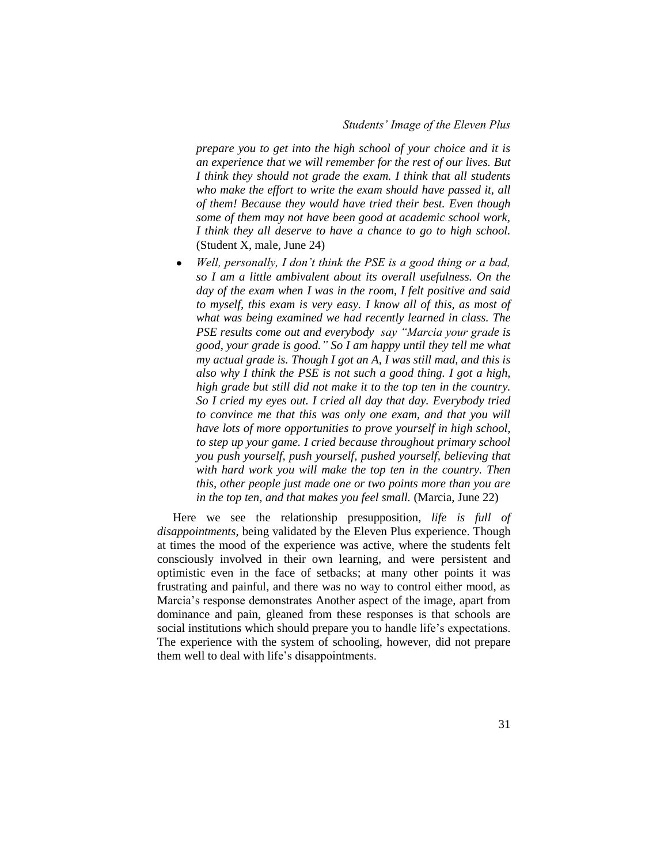# *Students" Image of the Eleven Plus*

*prepare you to get into the high school of your choice and it is an experience that we will remember for the rest of our lives. But I think they should not grade the exam. I think that all students who make the effort to write the exam should have passed it, all of them! Because they would have tried their best. Even though some of them may not have been good at academic school work, I think they all deserve to have a chance to go to high school.*  (Student X, male, June 24)

*Well, personally, I don"t think the PSE is a good thing or a bad, so I am a little ambivalent about its overall usefulness. On the day of the exam when I was in the room, I felt positive and said to myself, this exam is very easy. I know all of this, as most of what was being examined we had recently learned in class. The PSE results come out and everybody say "Marcia your grade is good, your grade is good." So I am happy until they tell me what my actual grade is. Though I got an A, I was still mad, and this is also why I think the PSE is not such a good thing. I got a high, high grade but still did not make it to the top ten in the country. So I cried my eyes out. I cried all day that day. Everybody tried to convince me that this was only one exam, and that you will have lots of more opportunities to prove yourself in high school, to step up your game. I cried because throughout primary school you push yourself, push yourself, pushed yourself, believing that with hard work you will make the top ten in the country. Then this, other people just made one or two points more than you are in the top ten, and that makes you feel small.* (Marcia, June 22)

Here we see the relationship presupposition, *life is full of disappointments*, being validated by the Eleven Plus experience. Though at times the mood of the experience was active, where the students felt consciously involved in their own learning, and were persistent and optimistic even in the face of setbacks; at many other points it was frustrating and painful, and there was no way to control either mood, as Marcia's response demonstrates Another aspect of the image, apart from dominance and pain, gleaned from these responses is that schools are social institutions which should prepare you to handle life's expectations. The experience with the system of schooling, however, did not prepare them well to deal with life's disappointments.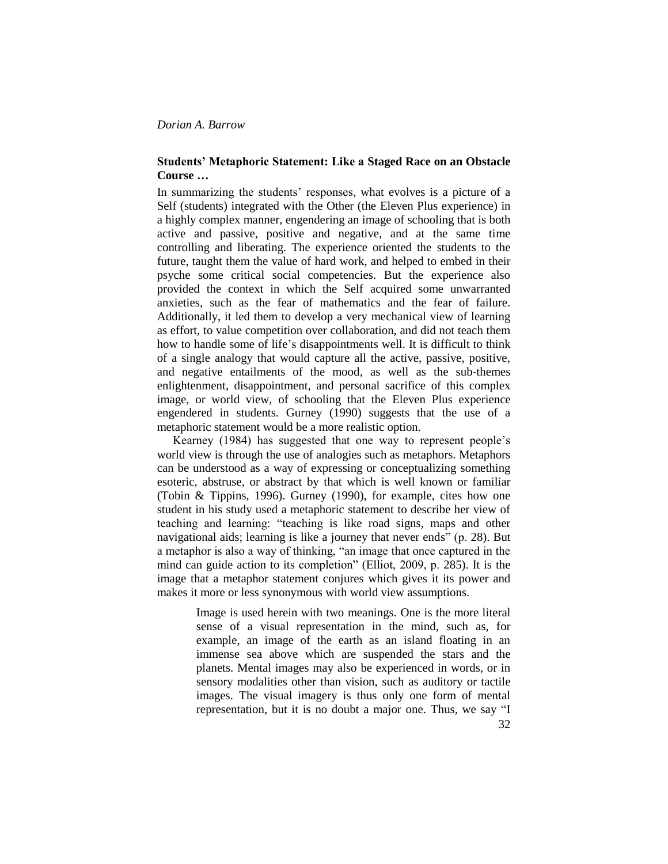# **Students' Metaphoric Statement: Like a Staged Race on an Obstacle Course …**

In summarizing the students' responses, what evolves is a picture of a Self (students) integrated with the Other (the Eleven Plus experience) in a highly complex manner, engendering an image of schooling that is both active and passive, positive and negative, and at the same time controlling and liberating. The experience oriented the students to the future, taught them the value of hard work, and helped to embed in their psyche some critical social competencies. But the experience also provided the context in which the Self acquired some unwarranted anxieties, such as the fear of mathematics and the fear of failure. Additionally, it led them to develop a very mechanical view of learning as effort, to value competition over collaboration, and did not teach them how to handle some of life's disappointments well. It is difficult to think of a single analogy that would capture all the active, passive, positive, and negative entailments of the mood, as well as the sub-themes enlightenment, disappointment, and personal sacrifice of this complex image, or world view, of schooling that the Eleven Plus experience engendered in students. Gurney (1990) suggests that the use of a metaphoric statement would be a more realistic option.

Kearney (1984) has suggested that one way to represent people's world view is through the use of analogies such as metaphors. Metaphors can be understood as a way of expressing or conceptualizing something esoteric, abstruse, or abstract by that which is well known or familiar (Tobin & Tippins, 1996). Gurney (1990), for example, cites how one student in his study used a metaphoric statement to describe her view of teaching and learning: "teaching is like road signs, maps and other navigational aids; learning is like a journey that never ends" (p. 28). But a metaphor is also a way of thinking, "an image that once captured in the mind can guide action to its completion" (Elliot, 2009, p. 285). It is the image that a metaphor statement conjures which gives it its power and makes it more or less synonymous with world view assumptions.

> Image is used herein with two meanings. One is the more literal sense of a visual representation in the mind, such as, for example, an image of the earth as an island floating in an immense sea above which are suspended the stars and the planets. Mental images may also be experienced in words, or in sensory modalities other than vision, such as auditory or tactile images. The visual imagery is thus only one form of mental representation, but it is no doubt a major one. Thus, we say "I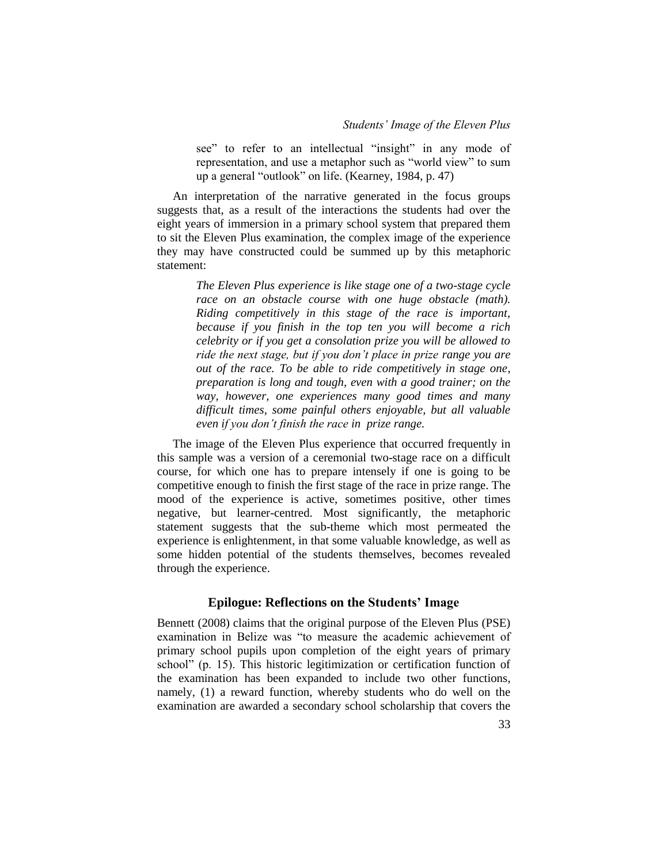see" to refer to an intellectual "insight" in any mode of representation, and use a metaphor such as "world view" to sum up a general "outlook" on life. (Kearney,  $1984$ , p.  $47$ )

An interpretation of the narrative generated in the focus groups suggests that, as a result of the interactions the students had over the eight years of immersion in a primary school system that prepared them to sit the Eleven Plus examination, the complex image of the experience they may have constructed could be summed up by this metaphoric statement:

> *The Eleven Plus experience is like stage one of a two-stage cycle race on an obstacle course with one huge obstacle (math). Riding competitively in this stage of the race is important, because if you finish in the top ten you will become a rich celebrity or if you get a consolation prize you will be allowed to ride the next stage, but if you don"t place in prize range you are out of the race. To be able to ride competitively in stage one, preparation is long and tough, even with a good trainer; on the way, however, one experiences many good times and many difficult times, some painful others enjoyable, but all valuable even if you don"t finish the race in prize range.*

The image of the Eleven Plus experience that occurred frequently in this sample was a version of a ceremonial two-stage race on a difficult course, for which one has to prepare intensely if one is going to be competitive enough to finish the first stage of the race in prize range. The mood of the experience is active, sometimes positive, other times negative, but learner-centred. Most significantly, the metaphoric statement suggests that the sub-theme which most permeated the experience is enlightenment, in that some valuable knowledge, as well as some hidden potential of the students themselves, becomes revealed through the experience.

# **Epilogue: Reflections on the Students' Image**

Bennett (2008) claims that the original purpose of the Eleven Plus (PSE) examination in Belize was "to measure the academic achievement of primary school pupils upon completion of the eight years of primary school" (p. 15). This historic legitimization or certification function of the examination has been expanded to include two other functions, namely, (1) a reward function, whereby students who do well on the examination are awarded a secondary school scholarship that covers the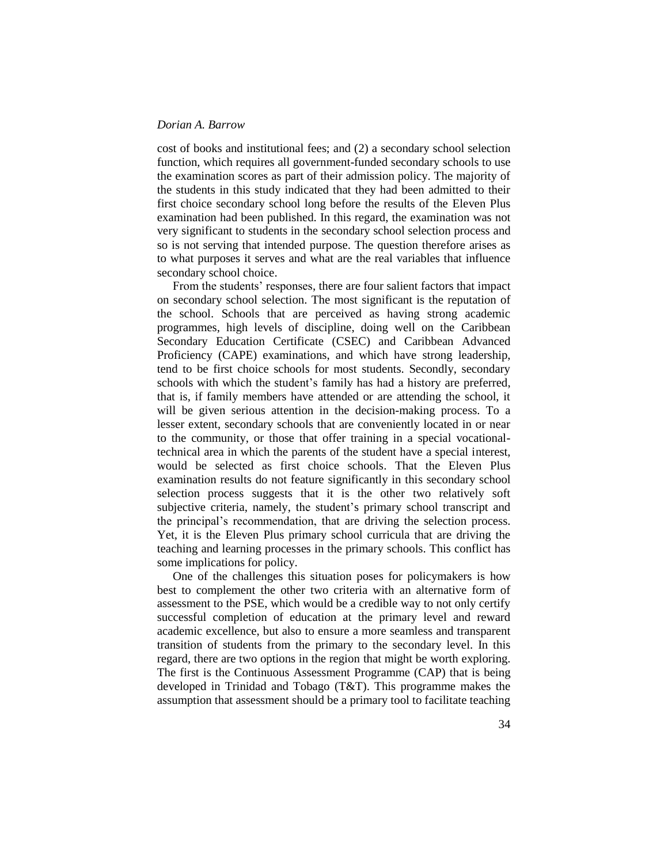cost of books and institutional fees; and (2) a secondary school selection function, which requires all government-funded secondary schools to use the examination scores as part of their admission policy. The majority of the students in this study indicated that they had been admitted to their first choice secondary school long before the results of the Eleven Plus examination had been published. In this regard, the examination was not very significant to students in the secondary school selection process and so is not serving that intended purpose. The question therefore arises as to what purposes it serves and what are the real variables that influence secondary school choice.

From the students' responses, there are four salient factors that impact on secondary school selection. The most significant is the reputation of the school. Schools that are perceived as having strong academic programmes, high levels of discipline, doing well on the Caribbean Secondary Education Certificate (CSEC) and Caribbean Advanced Proficiency (CAPE) examinations, and which have strong leadership, tend to be first choice schools for most students. Secondly, secondary schools with which the student's family has had a history are preferred, that is, if family members have attended or are attending the school, it will be given serious attention in the decision-making process. To a lesser extent, secondary schools that are conveniently located in or near to the community, or those that offer training in a special vocationaltechnical area in which the parents of the student have a special interest, would be selected as first choice schools. That the Eleven Plus examination results do not feature significantly in this secondary school selection process suggests that it is the other two relatively soft subjective criteria, namely, the student's primary school transcript and the principal's recommendation, that are driving the selection process. Yet, it is the Eleven Plus primary school curricula that are driving the teaching and learning processes in the primary schools. This conflict has some implications for policy.

One of the challenges this situation poses for policymakers is how best to complement the other two criteria with an alternative form of assessment to the PSE, which would be a credible way to not only certify successful completion of education at the primary level and reward academic excellence, but also to ensure a more seamless and transparent transition of students from the primary to the secondary level. In this regard, there are two options in the region that might be worth exploring. The first is the Continuous Assessment Programme (CAP) that is being developed in Trinidad and Tobago (T&T). This programme makes the assumption that assessment should be a primary tool to facilitate teaching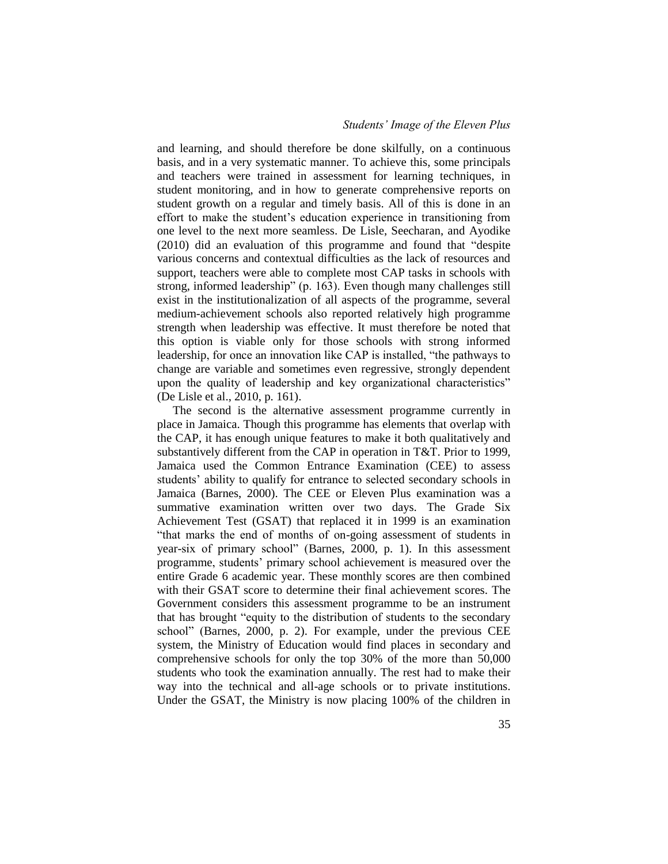and learning, and should therefore be done skilfully, on a continuous basis, and in a very systematic manner. To achieve this, some principals and teachers were trained in assessment for learning techniques, in student monitoring, and in how to generate comprehensive reports on student growth on a regular and timely basis. All of this is done in an effort to make the student's education experience in transitioning from one level to the next more seamless. De Lisle, Seecharan, and Ayodike  $(2010)$  did an evaluation of this programme and found that "despite various concerns and contextual difficulties as the lack of resources and support, teachers were able to complete most CAP tasks in schools with strong, informed leadership" (p. 163). Even though many challenges still exist in the institutionalization of all aspects of the programme, several medium-achievement schools also reported relatively high programme strength when leadership was effective. It must therefore be noted that this option is viable only for those schools with strong informed leadership, for once an innovation like CAP is installed, "the pathways to change are variable and sometimes even regressive, strongly dependent upon the quality of leadership and key organizational characteristics" (De Lisle et al., 2010, p. 161).

The second is the alternative assessment programme currently in place in Jamaica. Though this programme has elements that overlap with the CAP, it has enough unique features to make it both qualitatively and substantively different from the CAP in operation in T&T. Prior to 1999, Jamaica used the Common Entrance Examination (CEE) to assess students' ability to qualify for entrance to selected secondary schools in Jamaica (Barnes, 2000). The CEE or Eleven Plus examination was a summative examination written over two days. The Grade Six Achievement Test (GSAT) that replaced it in 1999 is an examination ―that marks the end of months of on-going assessment of students in year-six of primary school" (Barnes, 2000, p. 1). In this assessment programme, students' primary school achievement is measured over the entire Grade 6 academic year. These monthly scores are then combined with their GSAT score to determine their final achievement scores. The Government considers this assessment programme to be an instrument that has brought "equity to the distribution of students to the secondary school" (Barnes, 2000, p. 2). For example, under the previous CEE system, the Ministry of Education would find places in secondary and comprehensive schools for only the top 30% of the more than 50,000 students who took the examination annually. The rest had to make their way into the technical and all-age schools or to private institutions. Under the GSAT, the Ministry is now placing 100% of the children in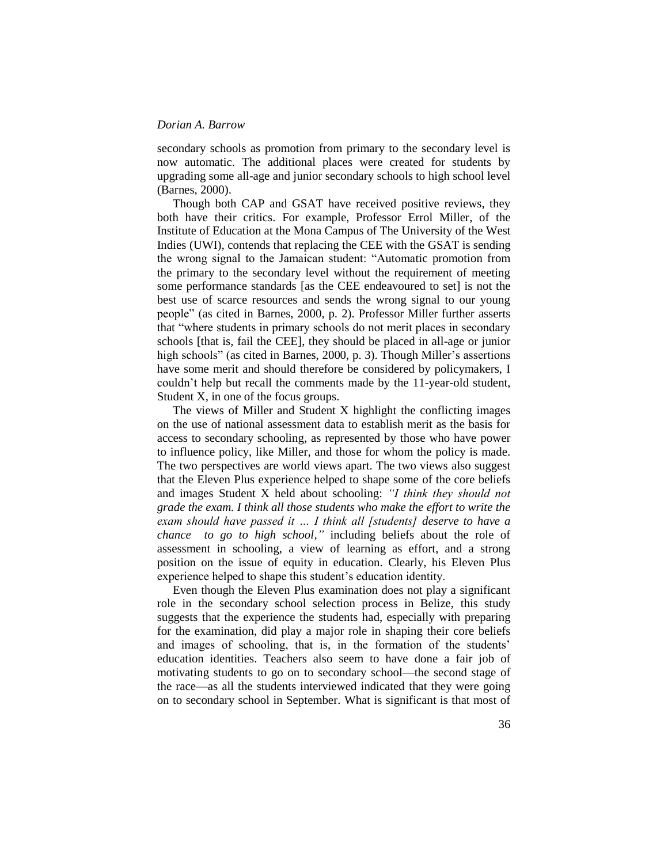secondary schools as promotion from primary to the secondary level is now automatic. The additional places were created for students by upgrading some all-age and junior secondary schools to high school level (Barnes, 2000).

Though both CAP and GSAT have received positive reviews, they both have their critics. For example, Professor Errol Miller, of the Institute of Education at the Mona Campus of The University of the West Indies (UWI), contends that replacing the CEE with the GSAT is sending the wrong signal to the Jamaican student: "Automatic promotion from the primary to the secondary level without the requirement of meeting some performance standards [as the CEE endeavoured to set] is not the best use of scarce resources and sends the wrong signal to our young people‖ (as cited in Barnes, 2000, p. 2). Professor Miller further asserts that "where students in primary schools do not merit places in secondary schools [that is, fail the CEE], they should be placed in all-age or junior high schools" (as cited in Barnes, 2000, p. 3). Though Miller's assertions have some merit and should therefore be considered by policymakers, I couldn't help but recall the comments made by the 11-year-old student, Student X, in one of the focus groups.

The views of Miller and Student X highlight the conflicting images on the use of national assessment data to establish merit as the basis for access to secondary schooling, as represented by those who have power to influence policy, like Miller, and those for whom the policy is made. The two perspectives are world views apart. The two views also suggest that the Eleven Plus experience helped to shape some of the core beliefs and images Student X held about schooling: *"I think they should not grade the exam. I think all those students who make the effort to write the exam should have passed it … I think all [students] deserve to have a chance to go to high school,"* including beliefs about the role of assessment in schooling, a view of learning as effort, and a strong position on the issue of equity in education. Clearly, his Eleven Plus experience helped to shape this student's education identity.

Even though the Eleven Plus examination does not play a significant role in the secondary school selection process in Belize, this study suggests that the experience the students had, especially with preparing for the examination, did play a major role in shaping their core beliefs and images of schooling, that is, in the formation of the students' education identities. Teachers also seem to have done a fair job of motivating students to go on to secondary school—the second stage of the race—as all the students interviewed indicated that they were going on to secondary school in September. What is significant is that most of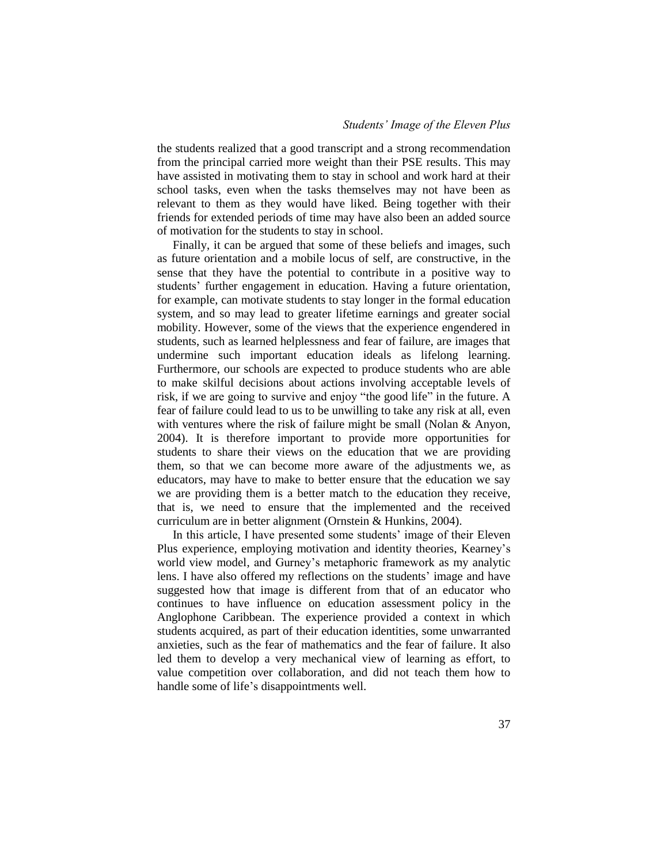the students realized that a good transcript and a strong recommendation from the principal carried more weight than their PSE results. This may have assisted in motivating them to stay in school and work hard at their school tasks, even when the tasks themselves may not have been as relevant to them as they would have liked. Being together with their friends for extended periods of time may have also been an added source of motivation for the students to stay in school.

Finally, it can be argued that some of these beliefs and images, such as future orientation and a mobile locus of self, are constructive, in the sense that they have the potential to contribute in a positive way to students' further engagement in education. Having a future orientation, for example, can motivate students to stay longer in the formal education system, and so may lead to greater lifetime earnings and greater social mobility. However, some of the views that the experience engendered in students, such as learned helplessness and fear of failure, are images that undermine such important education ideals as lifelong learning. Furthermore, our schools are expected to produce students who are able to make skilful decisions about actions involving acceptable levels of risk, if we are going to survive and enjoy "the good life" in the future. A fear of failure could lead to us to be unwilling to take any risk at all, even with ventures where the risk of failure might be small (Nolan & Anyon, 2004). It is therefore important to provide more opportunities for students to share their views on the education that we are providing them, so that we can become more aware of the adjustments we, as educators, may have to make to better ensure that the education we say we are providing them is a better match to the education they receive, that is, we need to ensure that the implemented and the received curriculum are in better alignment (Ornstein & Hunkins, 2004).

In this article, I have presented some students' image of their Eleven Plus experience, employing motivation and identity theories, Kearney's world view model, and Gurney's metaphoric framework as my analytic lens. I have also offered my reflections on the students' image and have suggested how that image is different from that of an educator who continues to have influence on education assessment policy in the Anglophone Caribbean. The experience provided a context in which students acquired, as part of their education identities, some unwarranted anxieties, such as the fear of mathematics and the fear of failure. It also led them to develop a very mechanical view of learning as effort, to value competition over collaboration, and did not teach them how to handle some of life's disappointments well.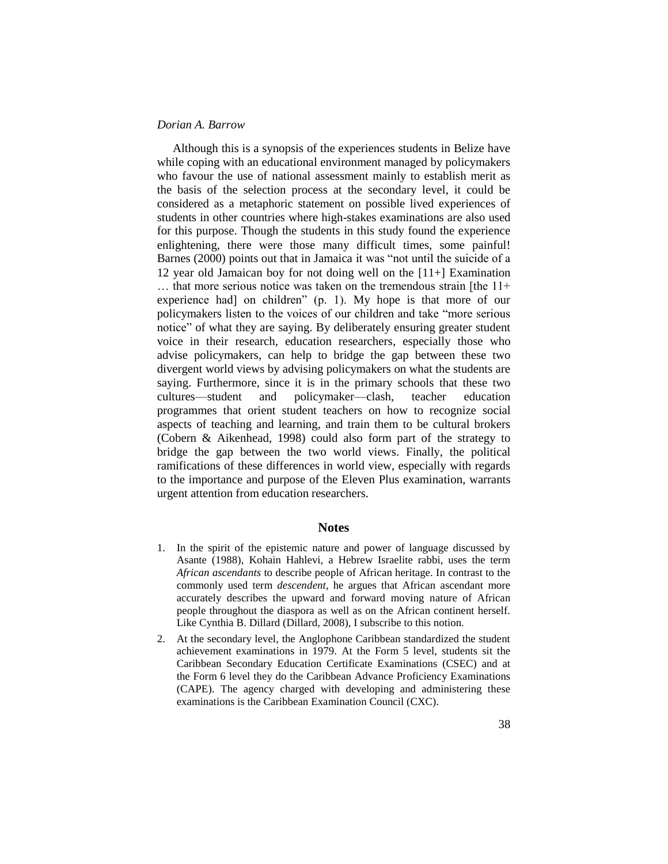Although this is a synopsis of the experiences students in Belize have while coping with an educational environment managed by policymakers who favour the use of national assessment mainly to establish merit as the basis of the selection process at the secondary level, it could be considered as a metaphoric statement on possible lived experiences of students in other countries where high-stakes examinations are also used for this purpose. Though the students in this study found the experience enlightening, there were those many difficult times, some painful! Barnes (2000) points out that in Jamaica it was "not until the suicide of a 12 year old Jamaican boy for not doing well on the [11+] Examination … that more serious notice was taken on the tremendous strain [the 11+ experience had] on children" (p. 1). My hope is that more of our policymakers listen to the voices of our children and take "more serious notice" of what they are saying. By deliberately ensuring greater student voice in their research, education researchers, especially those who advise policymakers, can help to bridge the gap between these two divergent world views by advising policymakers on what the students are saying. Furthermore, since it is in the primary schools that these two cultures—student and policymaker—clash, teacher education programmes that orient student teachers on how to recognize social aspects of teaching and learning, and train them to be cultural brokers (Cobern & Aikenhead, 1998) could also form part of the strategy to bridge the gap between the two world views. Finally, the political ramifications of these differences in world view, especially with regards to the importance and purpose of the Eleven Plus examination, warrants urgent attention from education researchers.

# **Notes**

- 1. In the spirit of the epistemic nature and power of language discussed by Asante (1988), Kohain Hahlevi, a Hebrew Israelite rabbi, uses the term *African ascendants* to describe people of African heritage. In contrast to the commonly used term *descendent*, he argues that African ascendant more accurately describes the upward and forward moving nature of African people throughout the diaspora as well as on the African continent herself. Like Cynthia B. Dillard (Dillard, 2008), I subscribe to this notion.
- 2. At the secondary level, the Anglophone Caribbean standardized the student achievement examinations in 1979. At the Form 5 level, students sit the Caribbean Secondary Education Certificate Examinations (CSEC) and at the Form 6 level they do the Caribbean Advance Proficiency Examinations (CAPE). The agency charged with developing and administering these examinations is the Caribbean Examination Council (CXC).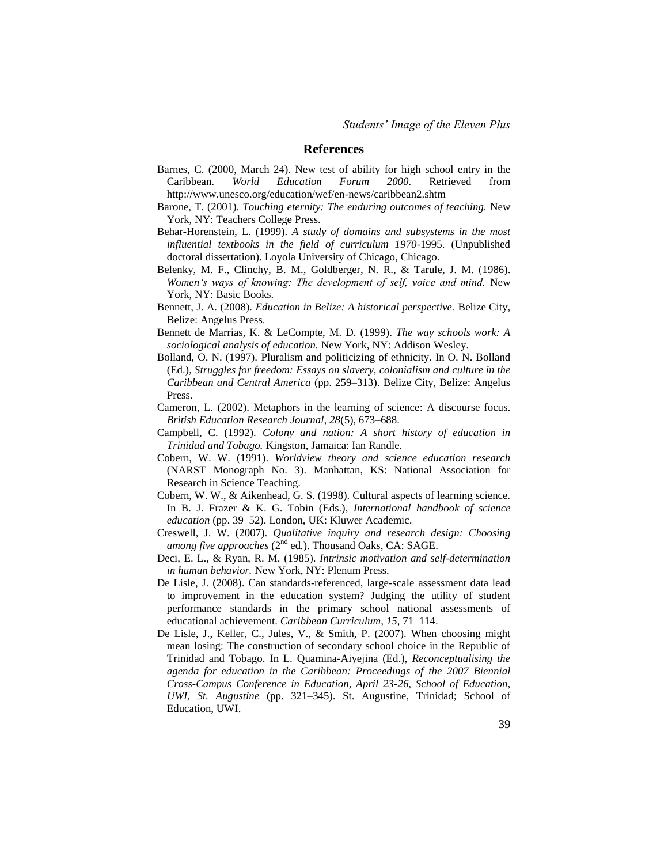#### **References**

- Barnes, C. (2000, March 24). New test of ability for high school entry in the Caribbean. *World Education Forum 2000.* Retrieved from http://www.unesco.org/education/wef/en-news/caribbean2.shtm
- Barone, T. (2001). *Touching eternity: The enduring outcomes of teaching.* New York, NY: Teachers College Press.
- Behar-Horenstein, L. (1999). *A study of domains and subsystems in the most influential textbooks in the field of curriculum 1970-*1995. (Unpublished doctoral dissertation). Loyola University of Chicago, Chicago.
- Belenky, M. F., Clinchy, B. M., Goldberger, N. R., & Tarule, J. M. (1986). Women's ways of knowing: The development of self, voice and mind. New York, NY: Basic Books.
- Bennett, J. A. (2008). *Education in Belize: A historical perspective.* Belize City, Belize: Angelus Press.
- Bennett de Marrias, K. & LeCompte, M. D. (1999). *The way schools work: A sociological analysis of education.* New York, NY: Addison Wesley.
- Bolland, O. N. (1997). Pluralism and politicizing of ethnicity. In O. N. Bolland (Ed.), *Struggles for freedom: Essays on slavery, colonialism and culture in the Caribbean and Central America* (pp. 259–313). Belize City, Belize: Angelus Press.
- Cameron, L. (2002). Metaphors in the learning of science: A discourse focus. *British Education Research Journal, 28*(5), 673–688.
- Campbell, C. (1992). *Colony and nation: A short history of education in Trinidad and Tobago.* Kingston, Jamaica: Ian Randle.
- Cobern, W. W. (1991). *Worldview theory and science education research* (NARST Monograph No. 3). Manhattan, KS: National Association for Research in Science Teaching.
- Cobern, W. W., & Aikenhead, G. S. (1998). Cultural aspects of learning science. In B. J. Frazer & K. G. Tobin (Eds.), *International handbook of science education* (pp. 39–52). London, UK: Kluwer Academic.
- Creswell, J. W. (2007). *Qualitative inquiry and research design: Choosing among five approaches* (2<sup>nd</sup> ed.). Thousand Oaks, CA: SAGE.
- Deci, E. L., & Ryan, R. M. (1985). *Intrinsic motivation and self-determination in human behavior.* New York, NY: Plenum Press.
- De Lisle, J. (2008). Can standards-referenced, large-scale assessment data lead to improvement in the education system? Judging the utility of student performance standards in the primary school national assessments of educational achievement. *Caribbean Curriculum, 15*, 71–114.
- De Lisle, J., Keller, C., Jules, V., & Smith, P. (2007). When choosing might mean losing: The construction of secondary school choice in the Republic of Trinidad and Tobago. In L. Quamina-Aiyejina (Ed.), *Reconceptualising the agenda for education in the Caribbean: Proceedings of the 2007 Biennial Cross-Campus Conference in Education, April 23-26, School of Education, UWI, St. Augustine* (pp. 321–345). St. Augustine, Trinidad; School of Education, UWI.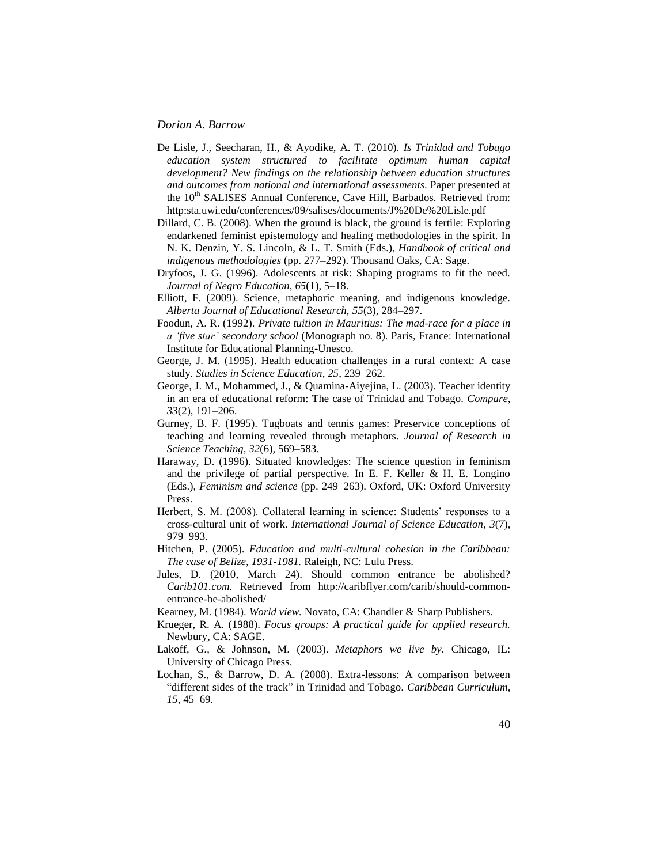- De Lisle, J., Seecharan, H., & Ayodike, A. T. (2010). *Is Trinidad and Tobago education system structured to facilitate optimum human capital development? New findings on the relationship between education structures and outcomes from national and international assessments*. Paper presented at the 10<sup>th</sup> SALISES Annual Conference, Cave Hill, Barbados. Retrieved from: http:sta.uwi.edu/conferences/09/salises/documents/J%20De%20Lisle.pdf
- Dillard, C. B. (2008). When the ground is black, the ground is fertile: Exploring endarkened feminist epistemology and healing methodologies in the spirit. In N. K. Denzin, Y. S. Lincoln, & L. T. Smith (Eds.), *Handbook of critical and indigenous methodologies* (pp. 277–292). Thousand Oaks, CA: Sage.
- Dryfoos, J. G. (1996). Adolescents at risk: Shaping programs to fit the need. *Journal of Negro Education, 65*(1), 5–18.
- Elliott, F. (2009). Science, metaphoric meaning, and indigenous knowledge. *Alberta Journal of Educational Research, 55*(3), 284–297.
- Foodun, A. R. (1992). *Private tuition in Mauritius: The mad-race for a place in a "five star" secondary school* (Monograph no. 8). Paris, France: International Institute for Educational Planning-Unesco.
- George, J. M. (1995). Health education challenges in a rural context: A case study. *Studies in Science Education, 25*, 239–262.
- George, J. M., Mohammed, J., & Quamina-Aiyejina, L. (2003). Teacher identity in an era of educational reform: The case of Trinidad and Tobago. *Compare, 33*(2), 191–206.
- Gurney, B. F. (1995). Tugboats and tennis games: Preservice conceptions of teaching and learning revealed through metaphors. *Journal of Research in Science Teaching, 32*(6)*,* 569–583.
- Haraway, D. (1996). Situated knowledges: The science question in feminism and the privilege of partial perspective. In E. F. Keller & H. E. Longino (Eds.), *Feminism and science* (pp. 249–263). Oxford, UK: Oxford University Press.
- Herbert, S. M. (2008). Collateral learning in science: Students' responses to a cross-cultural unit of work. *International Journal of Science Education*, *3*(7), 979–993.
- Hitchen, P. (2005). *Education and multi-cultural cohesion in the Caribbean: The case of Belize, 1931-1981.* Raleigh, NC: Lulu Press.
- Jules, D. (2010, March 24). Should common entrance be abolished? *Carib101.com.* Retrieved from http://caribflyer.com/carib/should-commonentrance-be-abolished/
- Kearney, M. (1984). *World view.* Novato, CA: Chandler & Sharp Publishers.
- Krueger, R. A. (1988). *Focus groups: A practical guide for applied research.* Newbury, CA: SAGE.
- Lakoff, G., & Johnson, M. (2003). *Metaphors we live by.* Chicago, IL: University of Chicago Press.
- Lochan, S., & Barrow, D. A. (2008). Extra-lessons: A comparison between ―different sides of the track‖ in Trinidad and Tobago. *Caribbean Curriculum, 15*, 45–69.